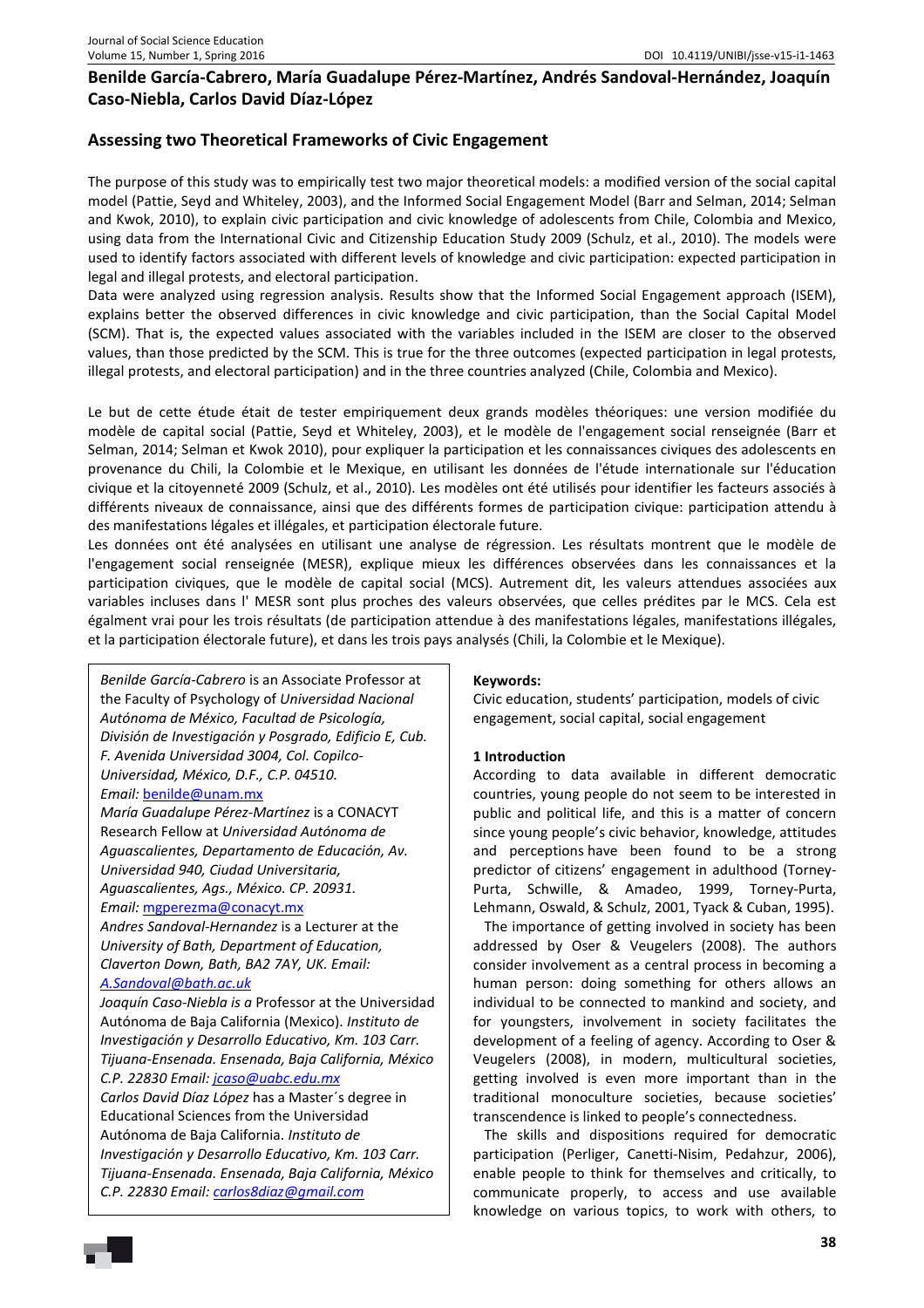# **Benilde García-Cabrero, María Guadalupe Pérez-Martínez, Andrés Sandoval-Hernández, Joaquín Caso-Niebla, Carlos David Díaz-López**

# **Assessing two Theoretical Frameworks of Civic Engagement**

The purpose of this study was to empirically test two major theoretical models: a modified version of the social capital model (Pattie, Seyd and Whiteley, 2003), and the Informed Social Engagement Model (Barr and Selman, 2014; Selman and Kwok, 2010), to explain civic participation and civic knowledge of adolescents from Chile, Colombia and Mexico, using data from the International Civic and Citizenship Education Study 2009 (Schulz, et al., 2010). The models were used to identify factors associated with different levels of knowledge and civic participation: expected participation in legal and illegal protests, and electoral participation.

Data were analyzed using regression analysis. Results show that the Informed Social Engagement approach (ISEM), explains better the observed differences in civic knowledge and civic participation, than the Social Capital Model (SCM). That is, the expected values associated with the variables included in the ISEM are closer to the observed values, than those predicted by the SCM. This is true for the three outcomes (expected participation in legal protests, illegal protests, and electoral participation) and in the three countries analyzed (Chile, Colombia and Mexico).

Le but de cette étude était de tester empiriquement deux grands modèles théoriques: une version modifiée du modèle de capital social (Pattie, Seyd et Whiteley, 2003), et le modèle de l'engagement social renseignée (Barr et Selman, 2014; Selman et Kwok 2010), pour expliquer la participation et les connaissances civiques des adolescents en provenance du Chili, la Colombie et le Mexique, en utilisant les données de l'étude internationale sur l'éducation civique et la citoyenneté 2009 (Schulz, et al., 2010). Les modèles ont été utilisés pour identifier les facteurs associés à différents niveaux de connaissance, ainsi que des différents formes de participation civique: participation attendu à des manifestations légales et illégales, et participation électorale future.

Les données ont été analysées en utilisant une analyse de régression. Les résultats montrent que le modèle de l'engagement social renseignée (MESR), explique mieux les différences observées dans les connaissances et la participation civiques, que le modèle de capital social (MCS). Autrement dit, les valeurs attendues associées aux variables incluses dans l' MESR sont plus proches des valeurs observées, que celles prédites par le MCS. Cela est égalment vrai pour les trois résultats (de participation attendue à des manifestations légales, manifestations illégales, et la participation électorale future), et dans les trois pays analysés (Chili, la Colombie et le Mexique).

*Benilde García-Cabrero* is an Associate Professor at the Faculty of Psychology of *Universidad Nacional Autónoma de México, Facultad de Psicología, División de Investigación y Posgrado, Edificio E, Cub. F. Avenida Universidad 3004, Col. Copilco-Universidad, México, D.F., C.P. 04510.* 

### *Email:* benilde@unam.mx

*María Guadalupe Pérez-Martínez* is a CONACYT Research Fellow at *Universidad Autónoma de Aguascalientes, Departamento de Educación, Av. Universidad 940, Ciudad Universitaria, Aguascalientes, Ags., México. CP. 20931.* 

### *Email:* mgperezma@conacyt.mx

*Andres Sandoval-Hernandez* is a Lecturer at the *University of Bath, Department of Education, Claverton Down, Bath, BA2 7AY, UK. Email: A.Sandoval@bath.ac.uk*

*Joaquín Caso-Niebla is a* Professor at the Universidad Autónoma de Baja California (Mexico). *Instituto de Investigación y Desarrollo Educativo, Km. 103 Carr. Tijuana-Ensenada. Ensenada, Baja California, México C.P. 22830 Email: jcaso@uabc.edu.mx*

*Carlos David Díaz López* has a Master´s degree in Educational Sciences from the Universidad Autónoma de Baja California. *Instituto de Investigación y Desarrollo Educativo, Km. 103 Carr. Tijuana-Ensenada. Ensenada, Baja California, México C.P. 22830 Email: carlos8diaz@gmail.com*

## **Keywords:**

Civic education, students' participation, models of civic engagement, social capital, social engagement

## **1 Introduction**

According to data available in different democratic countries, young people do not seem to be interested in public and political life, and this is a matter of concern since young people's civic behavior, knowledge, attitudes and perceptions have been found to be a strong predictor of citizens' engagement in adulthood (Torney-Purta, Schwille, & Amadeo, 1999, Torney-Purta, Lehmann, Oswald, & Schulz, 2001, Tyack & Cuban, 1995). The importance of getting involved in society has been addressed by Oser & Veugelers (2008). The authors consider involvement as a central process in becoming a human person: doing something for others allows an individual to be connected to mankind and society, and for youngsters, involvement in society facilitates the

development of a feeling of agency. According to Oser & Veugelers (2008), in modern, multicultural societies, getting involved is even more important than in the traditional monoculture societies, because societies' transcendence is linked to people's connectedness.

The skills and dispositions required for democratic participation (Perliger, Canetti-Nisim, Pedahzur, 2006), enable people to think for themselves and critically, to communicate properly, to access and use available knowledge on various topics, to work with others, to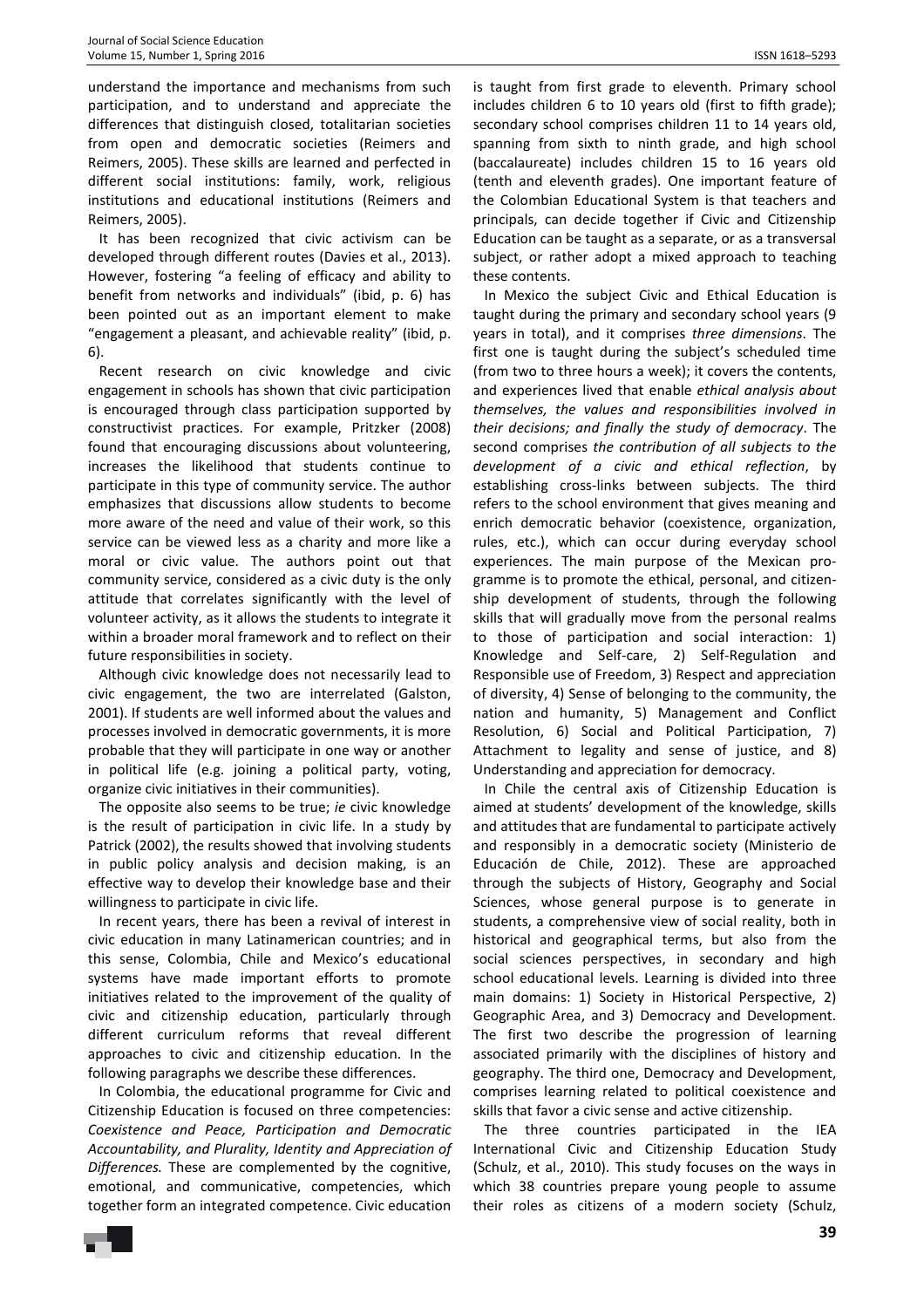understand the importance and mechanisms from such participation, and to understand and appreciate the differences that distinguish closed, totalitarian societies from open and democratic societies (Reimers and Reimers, 2005). These skills are learned and perfected in different social institutions: family, work, religious institutions and educational institutions (Reimers and Reimers, 2005).

It has been recognized that civic activism can be developed through different routes (Davies et al., 2013). However, fostering "a feeling of efficacy and ability to benefit from networks and individuals" (ibid, p. 6) has been pointed out as an important element to make "engagement a pleasant, and achievable reality" (ibid, p. 6).

Recent research on civic knowledge and civic engagement in schools has shown that civic participation is encouraged through class participation supported by constructivist practices. For example, Pritzker (2008) found that encouraging discussions about volunteering, increases the likelihood that students continue to participate in this type of community service. The author emphasizes that discussions allow students to become more aware of the need and value of their work, so this service can be viewed less as a charity and more like a moral or civic value. The authors point out that community service, considered as a civic duty is the only attitude that correlates significantly with the level of volunteer activity, as it allows the students to integrate it within a broader moral framework and to reflect on their future responsibilities in society.

Although civic knowledge does not necessarily lead to civic engagement, the two are interrelated (Galston, 2001). If students are well informed about the values and processes involved in democratic governments, it is more probable that they will participate in one way or another in political life (e.g. joining a political party, voting, organize civic initiatives in their communities).

The opposite also seems to be true; *ie* civic knowledge is the result of participation in civic life. In a study by Patrick (2002), the results showed that involving students in public policy analysis and decision making, is an effective way to develop their knowledge base and their willingness to participate in civic life.

In recent years, there has been a revival of interest in civic education in many Latinamerican countries; and in this sense, Colombia, Chile and Mexico's educational systems have made important efforts to promote initiatives related to the improvement of the quality of civic and citizenship education, particularly through different curriculum reforms that reveal different approaches to civic and citizenship education. In the following paragraphs we describe these differences.

In Colombia, the educational programme for Civic and Citizenship Education is focused on three competencies: *Coexistence and Peace, Participation and Democratic Accountability, and Plurality, Identity and Appreciation of Differences.* These are complemented by the cognitive, emotional, and communicative, competencies, which together form an integrated competence. Civic education

is taught from first grade to eleventh. Primary school includes children 6 to 10 years old (first to fifth grade); secondary school comprises children 11 to 14 years old, spanning from sixth to ninth grade, and high school (baccalaureate) includes children 15 to 16 years old (tenth and eleventh grades). One important feature of the Colombian Educational System is that teachers and principals, can decide together if Civic and Citizenship Education can be taught as a separate, or as a transversal subject, or rather adopt a mixed approach to teaching these contents.

In Mexico the subject Civic and Ethical Education is taught during the primary and secondary school years (9 years in total), and it comprises *three dimensions*. The first one is taught during the subject's scheduled time (from two to three hours a week); it covers the contents, and experiences lived that enable *ethical analysis about themselves, the values and responsibilities involved in their decisions; and finally the study of democracy*. The second comprises *the contribution of all subjects to the development of a civic and ethical reflection*, by establishing cross-links between subjects. The third refers to the school environment that gives meaning and enrich democratic behavior (coexistence, organization, rules, etc.), which can occur during everyday school experiences. The main purpose of the Mexican programme is to promote the ethical, personal, and citizenship development of students, through the following skills that will gradually move from the personal realms to those of participation and social interaction: 1) Knowledge and Self-care, 2) Self-Regulation and Responsible use of Freedom, 3) Respect and appreciation of diversity, 4) Sense of belonging to the community, the nation and humanity, 5) Management and Conflict Resolution, 6) Social and Political Participation, 7) Attachment to legality and sense of justice, and 8) Understanding and appreciation for democracy.

In Chile the central axis of Citizenship Education is aimed at students' development of the knowledge, skills and attitudes that are fundamental to participate actively and responsibly in a democratic society (Ministerio de Educación de Chile, 2012). These are approached through the subjects of History, Geography and Social Sciences, whose general purpose is to generate in students, a comprehensive view of social reality, both in historical and geographical terms, but also from the social sciences perspectives, in secondary and high school educational levels. Learning is divided into three main domains: 1) Society in Historical Perspective, 2) Geographic Area, and 3) Democracy and Development. The first two describe the progression of learning associated primarily with the disciplines of history and geography. The third one, Democracy and Development, comprises learning related to political coexistence and skills that favor a civic sense and active citizenship.

The three countries participated in the IEA International Civic and Citizenship Education Study (Schulz, et al., 2010). This study focuses on the ways in which 38 countries prepare young people to assume their roles as citizens of a modern society (Schulz,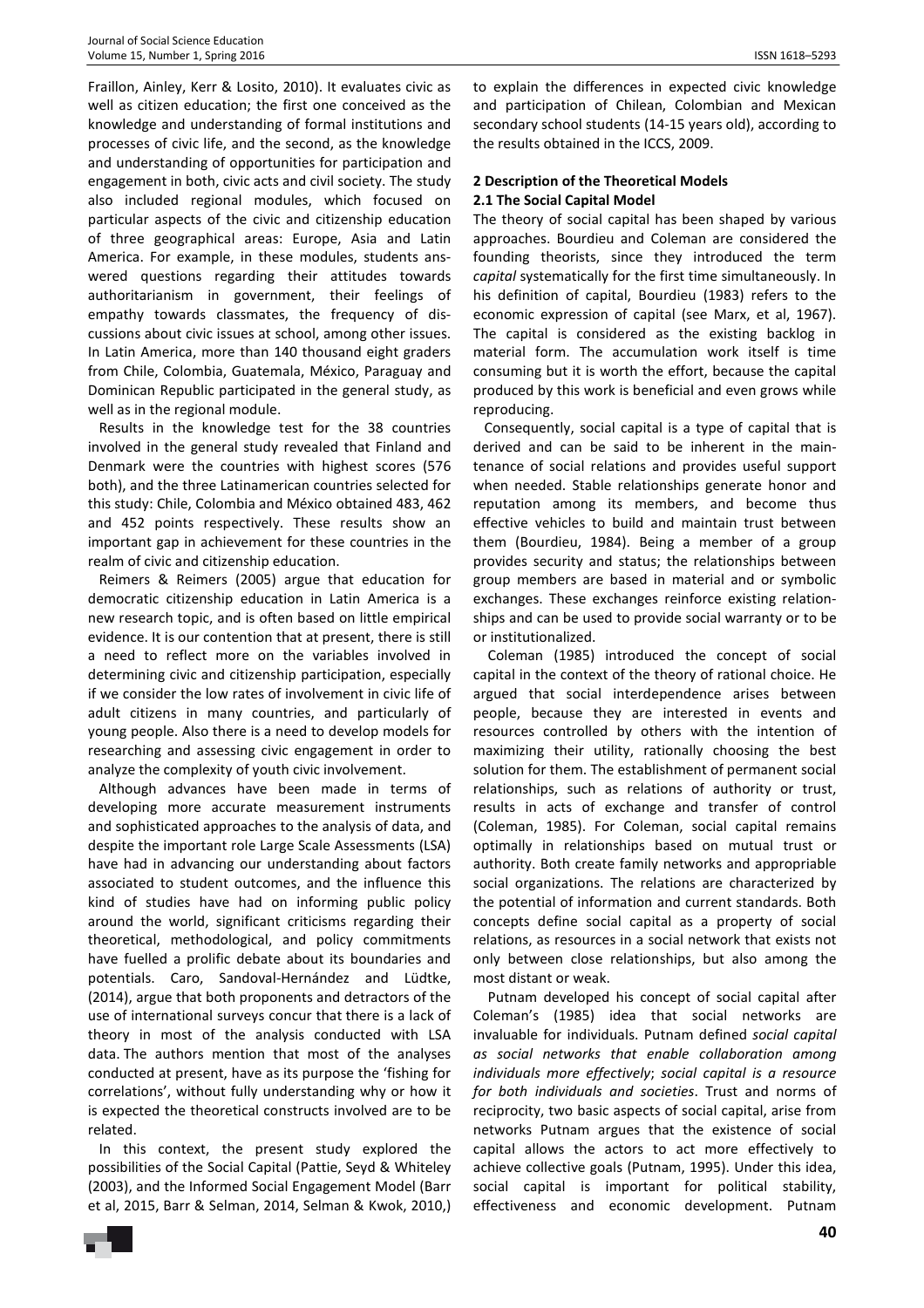Fraillon, Ainley, Kerr & Losito, 2010). It evaluates civic as well as citizen education; the first one conceived as the knowledge and understanding of formal institutions and processes of civic life, and the second, as the knowledge and understanding of opportunities for participation and engagement in both, civic acts and civil society. The study also included regional modules, which focused on particular aspects of the civic and citizenship education of three geographical areas: Europe, Asia and Latin America. For example, in these modules, students answered questions regarding their attitudes towards authoritarianism in government, their feelings of empathy towards classmates, the frequency of discussions about civic issues at school, among other issues. In Latin America, more than 140 thousand eight graders from Chile, Colombia, Guatemala, México, Paraguay and Dominican Republic participated in the general study, as well as in the regional module.

Results in the knowledge test for the 38 countries involved in the general study revealed that Finland and Denmark were the countries with highest scores (576 both), and the three Latinamerican countries selected for this study: Chile, Colombia and México obtained 483, 462 and 452 points respectively. These results show an important gap in achievement for these countries in the realm of civic and citizenship education.

Reimers & Reimers (2005) argue that education for democratic citizenship education in Latin America is a new research topic, and is often based on little empirical evidence. It is our contention that at present, there is still a need to reflect more on the variables involved in determining civic and citizenship participation, especially if we consider the low rates of involvement in civic life of adult citizens in many countries, and particularly of young people. Also there is a need to develop models for researching and assessing civic engagement in order to analyze the complexity of youth civic involvement.

Although advances have been made in terms of developing more accurate measurement instruments and sophisticated approaches to the analysis of data, and despite the important role Large Scale Assessments (LSA) have had in advancing our understanding about factors associated to student outcomes, and the influence this kind of studies have had on informing public policy around the world, significant criticisms regarding their theoretical, methodological, and policy commitments have fuelled a prolific debate about its boundaries and potentials. Caro, Sandoval-Hernández and Lüdtke, (2014), argue that both proponents and detractors of the use of international surveys concur that there is a lack of theory in most of the analysis conducted with LSA data. The authors mention that most of the analyses conducted at present, have as its purpose the 'fishing for correlations', without fully understanding why or how it is expected the theoretical constructs involved are to be related.

In this context, the present study explored the possibilities of the Social Capital (Pattie, Seyd & Whiteley (2003), and the Informed Social Engagement Model (Barr et al, 2015, Barr & Selman, 2014, Selman & Kwok, 2010,)

to explain the differences in expected civic knowledge and participation of Chilean, Colombian and Mexican secondary school students (14-15 years old), according to the results obtained in the ICCS, 2009.

## **2 Description of the Theoretical Models 2.1 The Social Capital Model**

The theory of social capital has been shaped by various approaches. Bourdieu and Coleman are considered the founding theorists, since they introduced the term *capital* systematically for the first time simultaneously. In his definition of capital, Bourdieu (1983) refers to the economic expression of capital (see Marx, et al, 1967). The capital is considered as the existing backlog in material form. The accumulation work itself is time consuming but it is worth the effort, because the capital produced by this work is beneficial and even grows while reproducing.

Consequently, social capital is a type of capital that is derived and can be said to be inherent in the maintenance of social relations and provides useful support when needed. Stable relationships generate honor and reputation among its members, and become thus effective vehicles to build and maintain trust between them (Bourdieu, 1984). Being a member of a group provides security and status; the relationships between group members are based in material and or symbolic exchanges. These exchanges reinforce existing relationships and can be used to provide social warranty or to be or institutionalized.

 Coleman (1985) introduced the concept of social capital in the context of the theory of rational choice. He argued that social interdependence arises between people, because they are interested in events and resources controlled by others with the intention of maximizing their utility, rationally choosing the best solution for them. The establishment of permanent social relationships, such as relations of authority or trust, results in acts of exchange and transfer of control (Coleman, 1985). For Coleman, social capital remains optimally in relationships based on mutual trust or authority. Both create family networks and appropriable social organizations. The relations are characterized by the potential of information and current standards. Both concepts define social capital as a property of social relations, as resources in a social network that exists not only between close relationships, but also among the most distant or weak.

 Putnam developed his concept of social capital after Coleman's (1985) idea that social networks are invaluable for individuals. Putnam defined *social capital as social networks that enable collaboration among individuals more effectively*; *social capital is a resource for both individuals and societies*. Trust and norms of reciprocity, two basic aspects of social capital, arise from networks Putnam argues that the existence of social capital allows the actors to act more effectively to achieve collective goals (Putnam, 1995). Under this idea, social capital is important for political stability, effectiveness and economic development. Putnam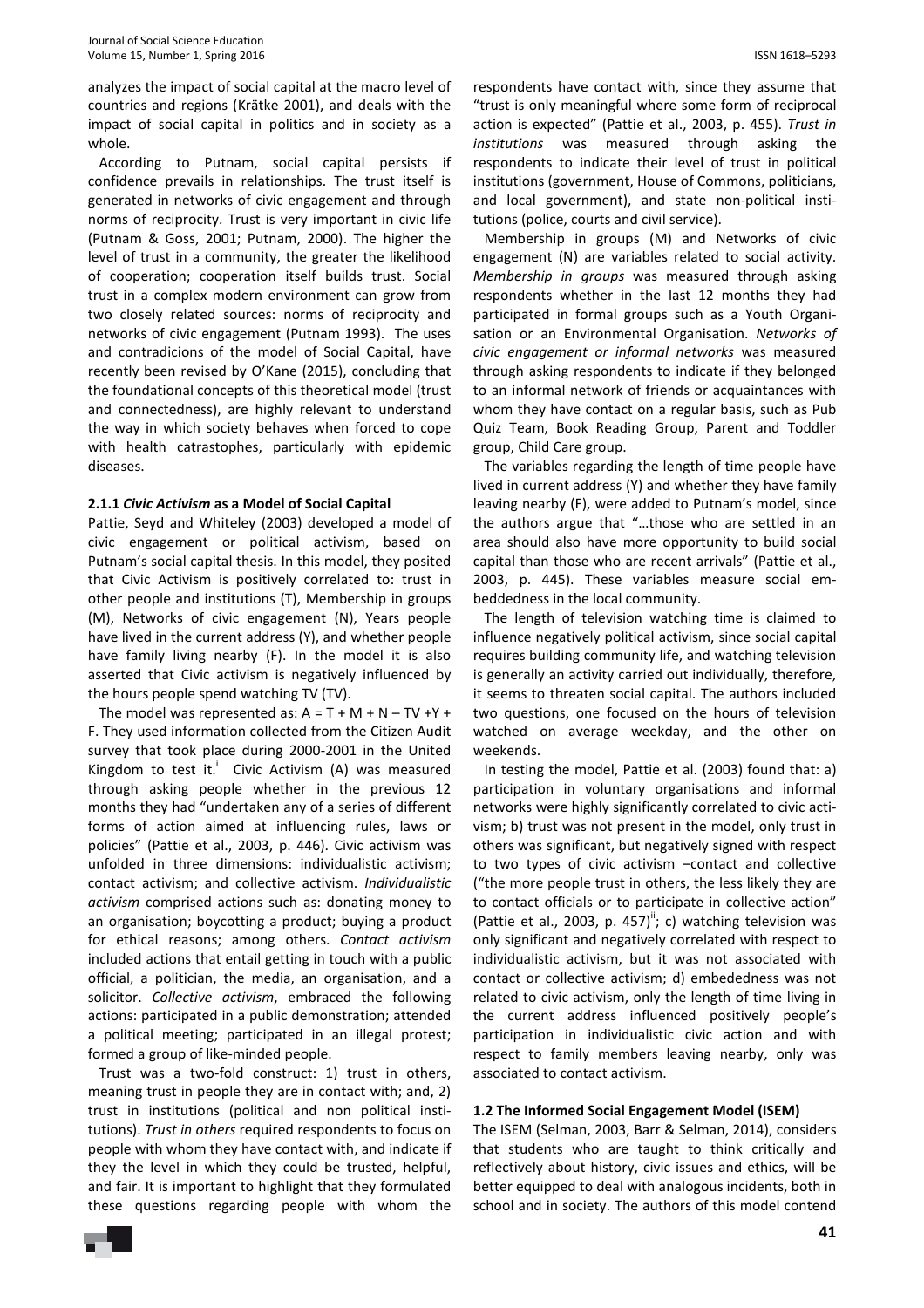analyzes the impact of social capital at the macro level of countries and regions (Krätke 2001), and deals with the impact of social capital in politics and in society as a whole.

According to Putnam, social capital persists if confidence prevails in relationships. The trust itself is generated in networks of civic engagement and through norms of reciprocity. Trust is very important in civic life (Putnam & Goss, 2001; Putnam, 2000). The higher the level of trust in a community, the greater the likelihood of cooperation; cooperation itself builds trust. Social trust in a complex modern environment can grow from two closely related sources: norms of reciprocity and networks of civic engagement (Putnam 1993). The uses and contradicions of the model of Social Capital, have recently been revised by O'Kane (2015), concluding that the foundational concepts of this theoretical model (trust and connectedness), are highly relevant to understand the way in which society behaves when forced to cope with health catrastophes, particularly with epidemic diseases.

### **2.1.1** *Civic Activism* **as a Model of Social Capital**

Pattie, Seyd and Whiteley (2003) developed a model of civic engagement or political activism, based on Putnam's social capital thesis. In this model, they posited that Civic Activism is positively correlated to: trust in other people and institutions (T), Membership in groups (M), Networks of civic engagement (N), Years people have lived in the current address (Y), and whether people have family living nearby (F). In the model it is also asserted that Civic activism is negatively influenced by the hours people spend watching TV (TV).

The model was represented as:  $A = T + M + N - TV + Y +$ F. They used information collected from the Citizen Audit survey that took place during 2000-2001 in the United Kingdom to test it.<sup>i</sup> Civic Activism (A) was measured through asking people whether in the previous 12 months they had "undertaken any of a series of different forms of action aimed at influencing rules, laws or policies" (Pattie et al., 2003, p. 446). Civic activism was unfolded in three dimensions: individualistic activism; contact activism; and collective activism. *Individualistic activism* comprised actions such as: donating money to an organisation; boycotting a product; buying a product for ethical reasons; among others. *Contact activism* included actions that entail getting in touch with a public official, a politician, the media, an organisation, and a solicitor. *Collective activism*, embraced the following actions: participated in a public demonstration; attended a political meeting; participated in an illegal protest; formed a group of like-minded people.

Trust was a two-fold construct: 1) trust in others, meaning trust in people they are in contact with; and, 2) trust in institutions (political and non political institutions). *Trust in others* required respondents to focus on people with whom they have contact with, and indicate if they the level in which they could be trusted, helpful, and fair. It is important to highlight that they formulated these questions regarding people with whom the

respondents have contact with, since they assume that "trust is only meaningful where some form of reciprocal action is expected" (Pattie et al., 2003, p. 455). *Trust in institutions* was measured through asking the respondents to indicate their level of trust in political institutions (government, House of Commons, politicians, and local government), and state non-political institutions (police, courts and civil service).

Membership in groups (M) and Networks of civic engagement (N) are variables related to social activity. *Membership in groups* was measured through asking respondents whether in the last 12 months they had participated in formal groups such as a Youth Organisation or an Environmental Organisation. *Networks of civic engagement or informal networks* was measured through asking respondents to indicate if they belonged to an informal network of friends or acquaintances with whom they have contact on a regular basis, such as Pub Quiz Team, Book Reading Group, Parent and Toddler group, Child Care group.

The variables regarding the length of time people have lived in current address (Y) and whether they have family leaving nearby (F), were added to Putnam's model, since the authors argue that "…those who are settled in an area should also have more opportunity to build social capital than those who are recent arrivals" (Pattie et al., 2003, p. 445). These variables measure social embeddedness in the local community.

The length of television watching time is claimed to influence negatively political activism, since social capital requires building community life, and watching television is generally an activity carried out individually, therefore, it seems to threaten social capital. The authors included two questions, one focused on the hours of television watched on average weekday, and the other on weekends.

In testing the model, Pattie et al. (2003) found that: a) participation in voluntary organisations and informal networks were highly significantly correlated to civic activism; b) trust was not present in the model, only trust in others was significant, but negatively signed with respect to two types of civic activism –contact and collective ("the more people trust in others, the less likely they are to contact officials or to participate in collective action" (Pattie et al., 2003, p. 457)"; c) watching television was only significant and negatively correlated with respect to individualistic activism, but it was not associated with contact or collective activism; d) embededness was not related to civic activism, only the length of time living in the current address influenced positively people's participation in individualistic civic action and with respect to family members leaving nearby, only was associated to contact activism.

### **1.2 The Informed Social Engagement Model (ISEM)**

The ISEM (Selman, 2003, Barr & Selman, 2014), considers that students who are taught to think critically and reflectively about history, civic issues and ethics, will be better equipped to deal with analogous incidents, both in school and in society. The authors of this model contend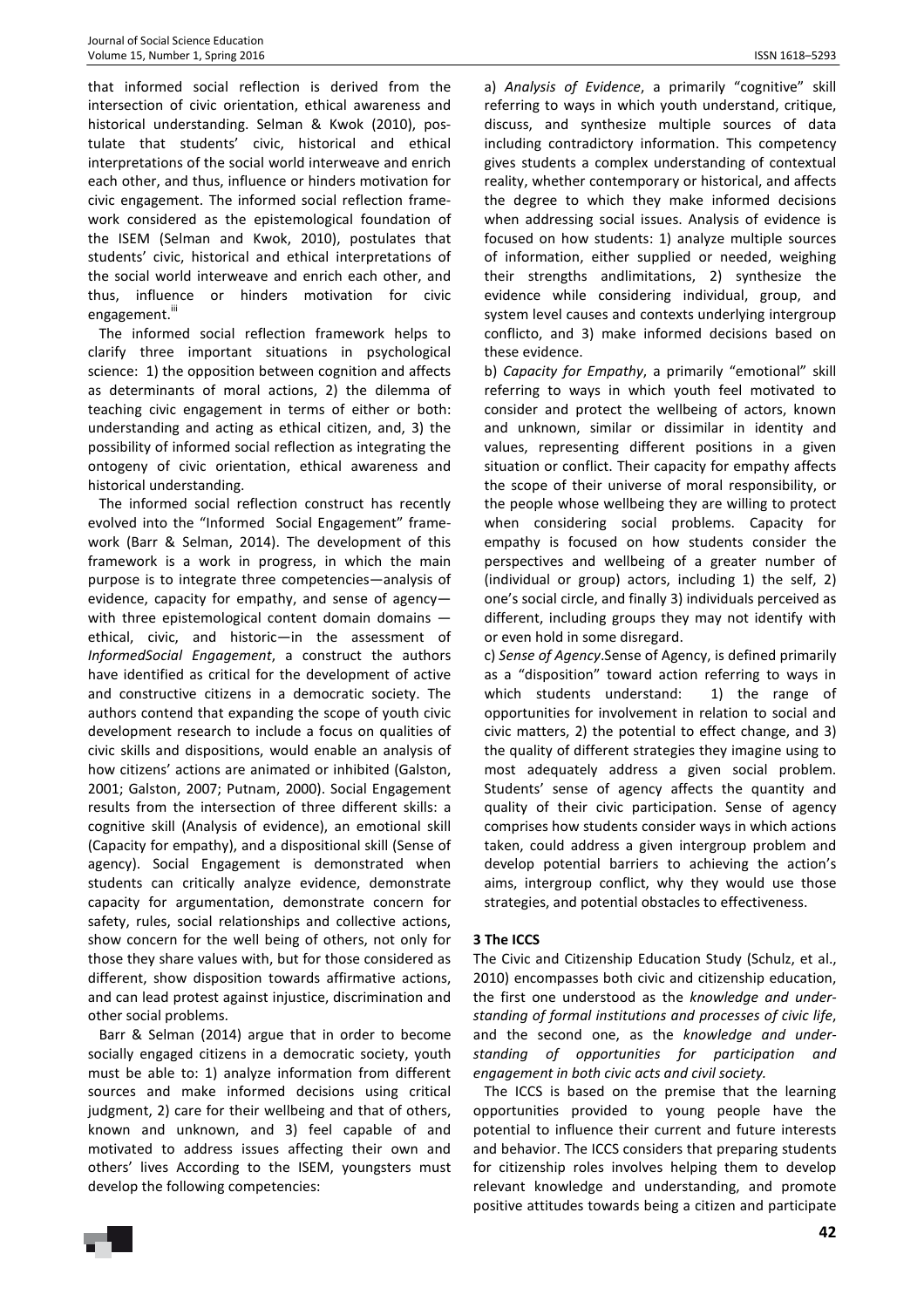that informed social reflection is derived from the intersection of civic orientation, ethical awareness and historical understanding. Selman & Kwok (2010), postulate that students' civic, historical and ethical interpretations of the social world interweave and enrich each other, and thus, influence or hinders motivation for civic engagement. The informed social reflection framework considered as the epistemological foundation of the ISEM (Selman and Kwok, 2010), postulates that students' civic, historical and ethical interpretations of the social world interweave and enrich each other, and thus, influence or hinders motivation for civic engagement."

The informed social reflection framework helps to clarify three important situations in psychological science: 1) the opposition between cognition and affects as determinants of moral actions, 2) the dilemma of teaching civic engagement in terms of either or both: understanding and acting as ethical citizen, and, 3) the possibility of informed social reflection as integrating the ontogeny of civic orientation, ethical awareness and historical understanding.

The informed social reflection construct has recently evolved into the "Informed Social Engagement" framework (Barr & Selman, 2014). The development of this framework is a work in progress, in which the main purpose is to integrate three competencies—analysis of evidence, capacity for empathy, and sense of agency with three epistemological content domain domains ethical, civic, and historic—in the assessment of *InformedSocial Engagement*, a construct the authors have identified as critical for the development of active and constructive citizens in a democratic society. The authors contend that expanding the scope of youth civic development research to include a focus on qualities of civic skills and dispositions, would enable an analysis of how citizens' actions are animated or inhibited (Galston, 2001; Galston, 2007; Putnam, 2000). Social Engagement results from the intersection of three different skills: a cognitive skill (Analysis of evidence), an emotional skill (Capacity for empathy), and a dispositional skill (Sense of agency). Social Engagement is demonstrated when students can critically analyze evidence, demonstrate capacity for argumentation, demonstrate concern for safety, rules, social relationships and collective actions, show concern for the well being of others, not only for those they share values with, but for those considered as different, show disposition towards affirmative actions, and can lead protest against injustice, discrimination and other social problems.

Barr & Selman (2014) argue that in order to become socially engaged citizens in a democratic society, youth must be able to: 1) analyze information from different sources and make informed decisions using critical judgment, 2) care for their wellbeing and that of others, known and unknown, and 3) feel capable of and motivated to address issues affecting their own and others' lives According to the ISEM, youngsters must develop the following competencies:

a) *Analysis of Evidence*, a primarily "cognitive" skill referring to ways in which youth understand, critique, discuss, and synthesize multiple sources of data including contradictory information. This competency gives students a complex understanding of contextual reality, whether contemporary or historical, and affects the degree to which they make informed decisions when addressing social issues. Analysis of evidence is focused on how students: 1) analyze multiple sources of information, either supplied or needed, weighing their strengths andlimitations, 2) synthesize the evidence while considering individual, group, and system level causes and contexts underlying intergroup conflicto, and 3) make informed decisions based on these evidence.

b) *Capacity for Empathy*, a primarily "emotional" skill referring to ways in which youth feel motivated to consider and protect the wellbeing of actors, known and unknown, similar or dissimilar in identity and values, representing different positions in a given situation or conflict. Their capacity for empathy affects the scope of their universe of moral responsibility, or the people whose wellbeing they are willing to protect when considering social problems. Capacity for empathy is focused on how students consider the perspectives and wellbeing of a greater number of (individual or group) actors, including 1) the self, 2) one's social circle, and finally 3) individuals perceived as different, including groups they may not identify with or even hold in some disregard.

c) *Sense of Agency*.Sense of Agency, is defined primarily as a "disposition" toward action referring to ways in which students understand: 1) the range of opportunities for involvement in relation to social and civic matters, 2) the potential to effect change, and 3) the quality of different strategies they imagine using to most adequately address a given social problem. Students' sense of agency affects the quantity and quality of their civic participation. Sense of agency comprises how students consider ways in which actions taken, could address a given intergroup problem and develop potential barriers to achieving the action's aims, intergroup conflict, why they would use those strategies, and potential obstacles to effectiveness.

## **3 The ICCS**

The Civic and Citizenship Education Study (Schulz, et al., 2010) encompasses both civic and citizenship education, the first one understood as the *knowledge and understanding of formal institutions and processes of civic life*, and the second one, as the *knowledge and understanding of opportunities for participation and engagement in both civic acts and civil society.* 

The ICCS is based on the premise that the learning opportunities provided to young people have the potential to influence their current and future interests and behavior. The ICCS considers that preparing students for citizenship roles involves helping them to develop relevant knowledge and understanding, and promote positive attitudes towards being a citizen and participate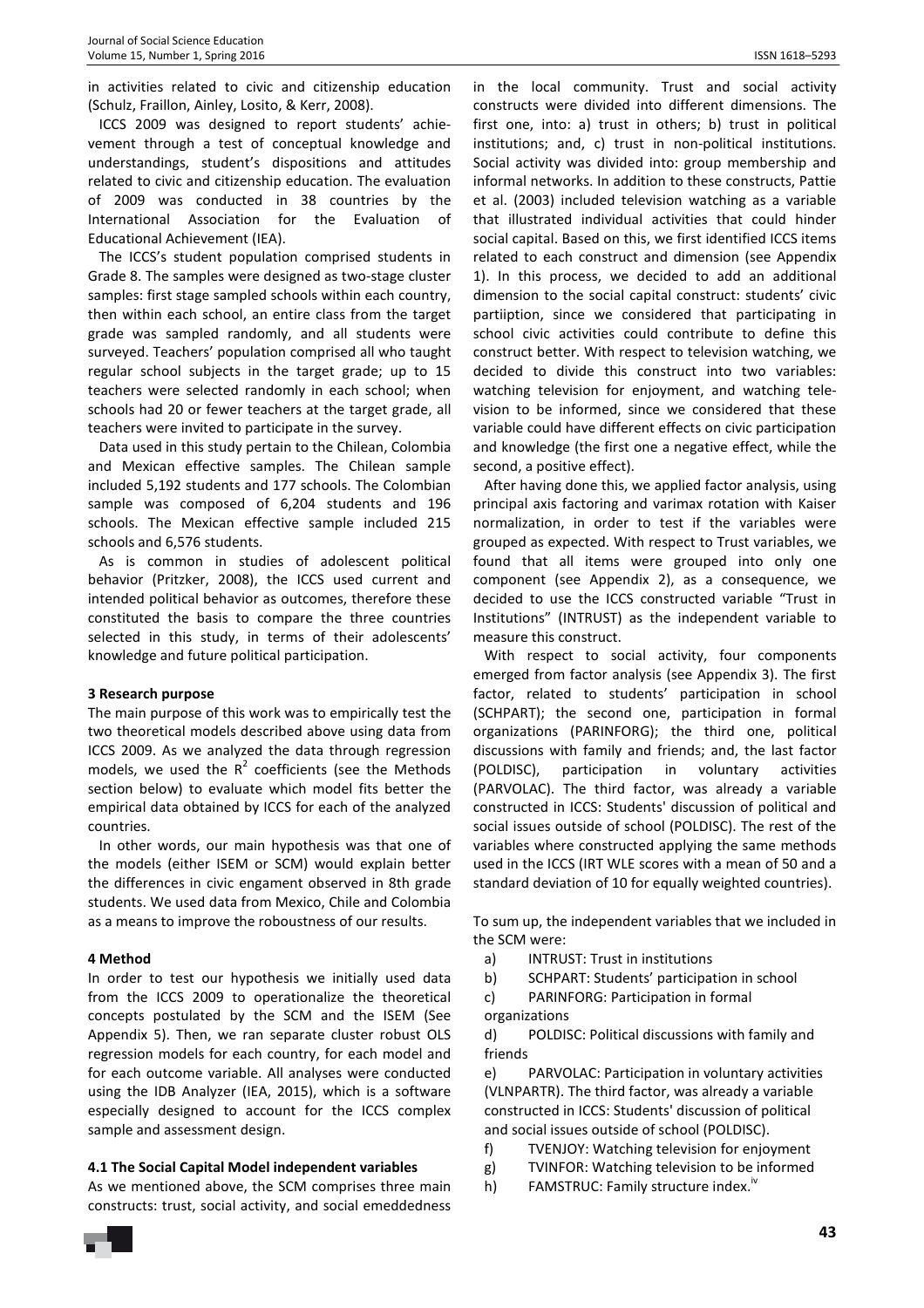in activities related to civic and citizenship education (Schulz, Fraillon, Ainley, Losito, & Kerr, 2008).

ICCS 2009 was designed to report students' achievement through a test of conceptual knowledge and understandings, student's dispositions and attitudes related to civic and citizenship education. The evaluation of 2009 was conducted in 38 countries by the International Association for the Evaluation of Educational Achievement (IEA).

The ICCS's student population comprised students in Grade 8. The samples were designed as two-stage cluster samples: first stage sampled schools within each country, then within each school, an entire class from the target grade was sampled randomly, and all students were surveyed. Teachers' population comprised all who taught regular school subjects in the target grade; up to 15 teachers were selected randomly in each school; when schools had 20 or fewer teachers at the target grade, all teachers were invited to participate in the survey.

Data used in this study pertain to the Chilean, Colombia and Mexican effective samples. The Chilean sample included 5,192 students and 177 schools. The Colombian sample was composed of 6,204 students and 196 schools. The Mexican effective sample included 215 schools and 6,576 students.

As is common in studies of adolescent political behavior (Pritzker, 2008), the ICCS used current and intended political behavior as outcomes, therefore these constituted the basis to compare the three countries selected in this study, in terms of their adolescents' knowledge and future political participation.

### **3 Research purpose**

The main purpose of this work was to empirically test the two theoretical models described above using data from ICCS 2009. As we analyzed the data through regression models, we used the  $R^2$  coefficients (see the Methods section below) to evaluate which model fits better the empirical data obtained by ICCS for each of the analyzed countries.

In other words, our main hypothesis was that one of the models (either ISEM or SCM) would explain better the differences in civic engament observed in 8th grade students. We used data from Mexico, Chile and Colombia as a means to improve the roboustness of our results.

### **4 Method**

In order to test our hypothesis we initially used data from the ICCS 2009 to operationalize the theoretical concepts postulated by the SCM and the ISEM (See Appendix 5). Then, we ran separate cluster robust OLS regression models for each country, for each model and for each outcome variable. All analyses were conducted using the IDB Analyzer (IEA, 2015), which is a software especially designed to account for the ICCS complex sample and assessment design.

## **4.1 The Social Capital Model independent variables**

As we mentioned above, the SCM comprises three main constructs: trust, social activity, and social emeddedness

in the local community. Trust and social activity constructs were divided into different dimensions. The first one, into: a) trust in others; b) trust in political institutions; and, c) trust in non-political institutions. Social activity was divided into: group membership and informal networks. In addition to these constructs, Pattie et al. (2003) included television watching as a variable that illustrated individual activities that could hinder social capital. Based on this, we first identified ICCS items related to each construct and dimension (see Appendix 1). In this process, we decided to add an additional dimension to the social capital construct: students' civic partiiption, since we considered that participating in school civic activities could contribute to define this construct better. With respect to television watching, we decided to divide this construct into two variables: watching television for enjoyment, and watching television to be informed, since we considered that these variable could have different effects on civic participation and knowledge (the first one a negative effect, while the second, a positive effect).

After having done this, we applied factor analysis, using principal axis factoring and varimax rotation with Kaiser normalization, in order to test if the variables were grouped as expected. With respect to Trust variables, we found that all items were grouped into only one component (see Appendix 2), as a consequence, we decided to use the ICCS constructed variable "Trust in Institutions" (INTRUST) as the independent variable to measure this construct.

With respect to social activity, four components emerged from factor analysis (see Appendix 3). The first factor, related to students' participation in school (SCHPART); the second one, participation in formal organizations (PARINFORG); the third one, political discussions with family and friends; and, the last factor (POLDISC), participation in voluntary activities (PARVOLAC). The third factor, was already a variable constructed in ICCS: Students' discussion of political and social issues outside of school (POLDISC). The rest of the variables where constructed applying the same methods used in the ICCS (IRT WLE scores with a mean of 50 and a standard deviation of 10 for equally weighted countries).

To sum up, the independent variables that we included in the SCM were:

- a) INTRUST: Trust in institutions
- b) SCHPART: Students' participation in school
- c) PARINFORG: Participation in formal
- organizations

d) POLDISC: Political discussions with family and friends

e) PARVOLAC: Participation in voluntary activities (VLNPARTR). The third factor, was already a variable constructed in ICCS: Students' discussion of political and social issues outside of school (POLDISC).

- f) TVENJOY: Watching television for enjoyment
- g) TVINFOR: Watching television to be informed
- h) FAMSTRUC: Family structure index.<sup>iv</sup>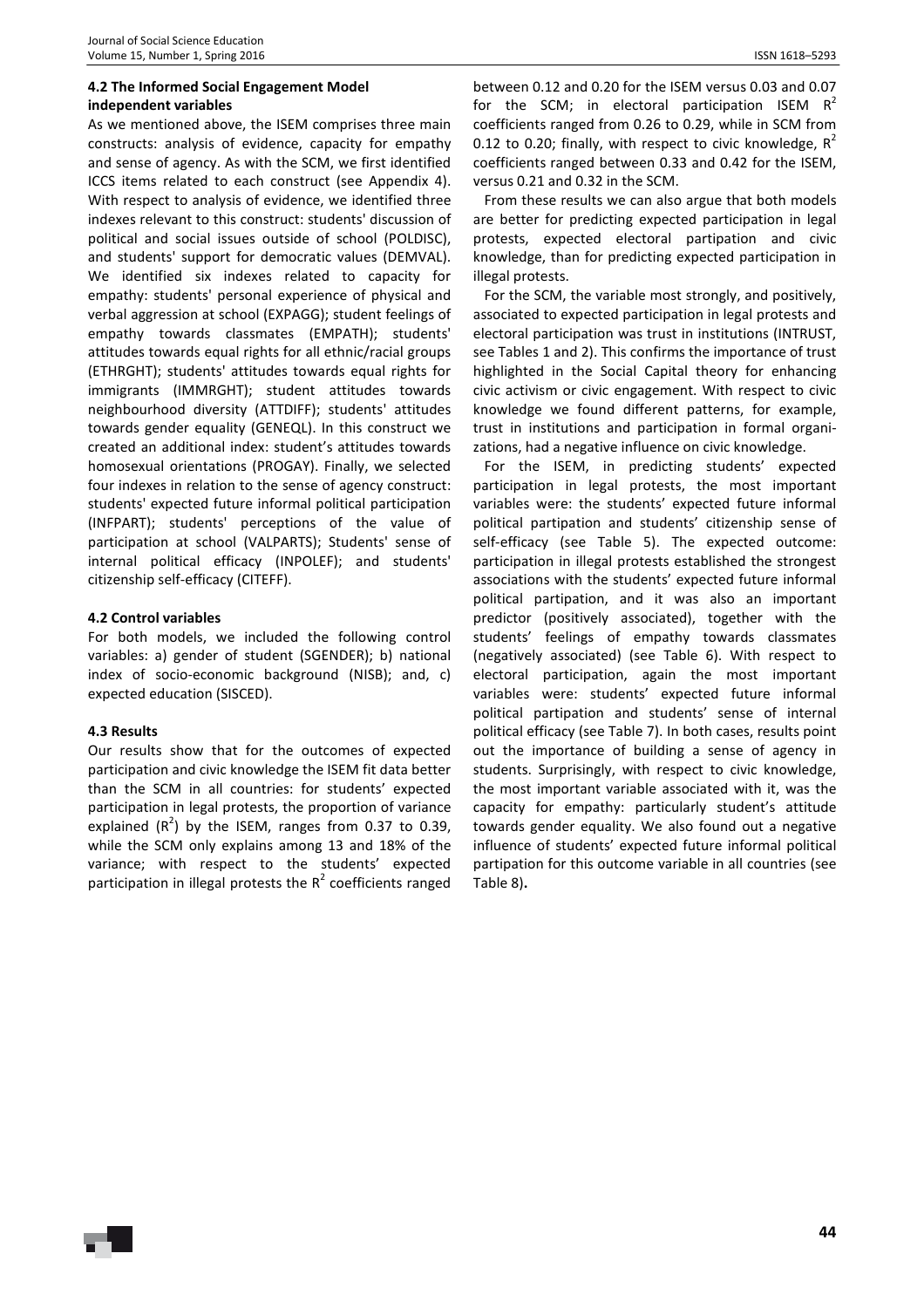# **4.2 The Informed Social Engagement Model independent variables**

As we mentioned above, the ISEM comprises three main constructs: analysis of evidence, capacity for empathy and sense of agency. As with the SCM, we first identified ICCS items related to each construct (see Appendix 4). With respect to analysis of evidence, we identified three indexes relevant to this construct: students' discussion of political and social issues outside of school (POLDISC), and students' support for democratic values (DEMVAL). We identified six indexes related to capacity for empathy: students' personal experience of physical and verbal aggression at school (EXPAGG); student feelings of empathy towards classmates (EMPATH); students' attitudes towards equal rights for all ethnic/racial groups (ETHRGHT); students' attitudes towards equal rights for immigrants (IMMRGHT); student attitudes towards neighbourhood diversity (ATTDIFF); students' attitudes towards gender equality (GENEQL). In this construct we created an additional index: student's attitudes towards homosexual orientations (PROGAY). Finally, we selected four indexes in relation to the sense of agency construct: students' expected future informal political participation (INFPART); students' perceptions of the value of participation at school (VALPARTS); Students' sense of internal political efficacy (INPOLEF); and students' citizenship self-efficacy (CITEFF).

## **4.2 Control variables**

For both models, we included the following control variables: a) gender of student (SGENDER); b) national index of socio-economic background (NISB); and, c) expected education (SISCED).

# **4.3 Results**

Our results show that for the outcomes of expected participation and civic knowledge the ISEM fit data better than the SCM in all countries: for students' expected participation in legal protests, the proportion of variance explained  $(R^2)$  by the ISEM, ranges from 0.37 to 0.39, while the SCM only explains among 13 and 18% of the variance; with respect to the students' expected participation in illegal protests the  $R^2$  coefficients ranged

between 0.12 and 0.20 for the ISEM versus 0.03 and 0.07 for the SCM; in electoral participation ISEM  $R^2$ coefficients ranged from 0.26 to 0.29, while in SCM from 0.12 to 0.20; finally, with respect to civic knowledge,  $R^2$ coefficients ranged between 0.33 and 0.42 for the ISEM, versus 0.21 and 0.32 in the SCM.

From these results we can also argue that both models are better for predicting expected participation in legal protests, expected electoral partipation and civic knowledge, than for predicting expected participation in illegal protests.

For the SCM, the variable most strongly, and positively, associated to expected participation in legal protests and electoral participation was trust in institutions (INTRUST, see Tables 1 and 2). This confirms the importance of trust highlighted in the Social Capital theory for enhancing civic activism or civic engagement. With respect to civic knowledge we found different patterns, for example, trust in institutions and participation in formal organizations, had a negative influence on civic knowledge.

For the ISEM, in predicting students' expected participation in legal protests, the most important variables were: the students' expected future informal political partipation and students' citizenship sense of self-efficacy (see Table 5). The expected outcome: participation in illegal protests established the strongest associations with the students' expected future informal political partipation, and it was also an important predictor (positively associated), together with the students' feelings of empathy towards classmates (negatively associated) (see Table 6). With respect to electoral participation, again the most important variables were: students' expected future informal political partipation and students' sense of internal political efficacy (see Table 7). In both cases, results point out the importance of building a sense of agency in students. Surprisingly, with respect to civic knowledge, the most important variable associated with it, was the capacity for empathy: particularly student's attitude towards gender equality. We also found out a negative influence of students' expected future informal political partipation for this outcome variable in all countries (see Table 8)**.**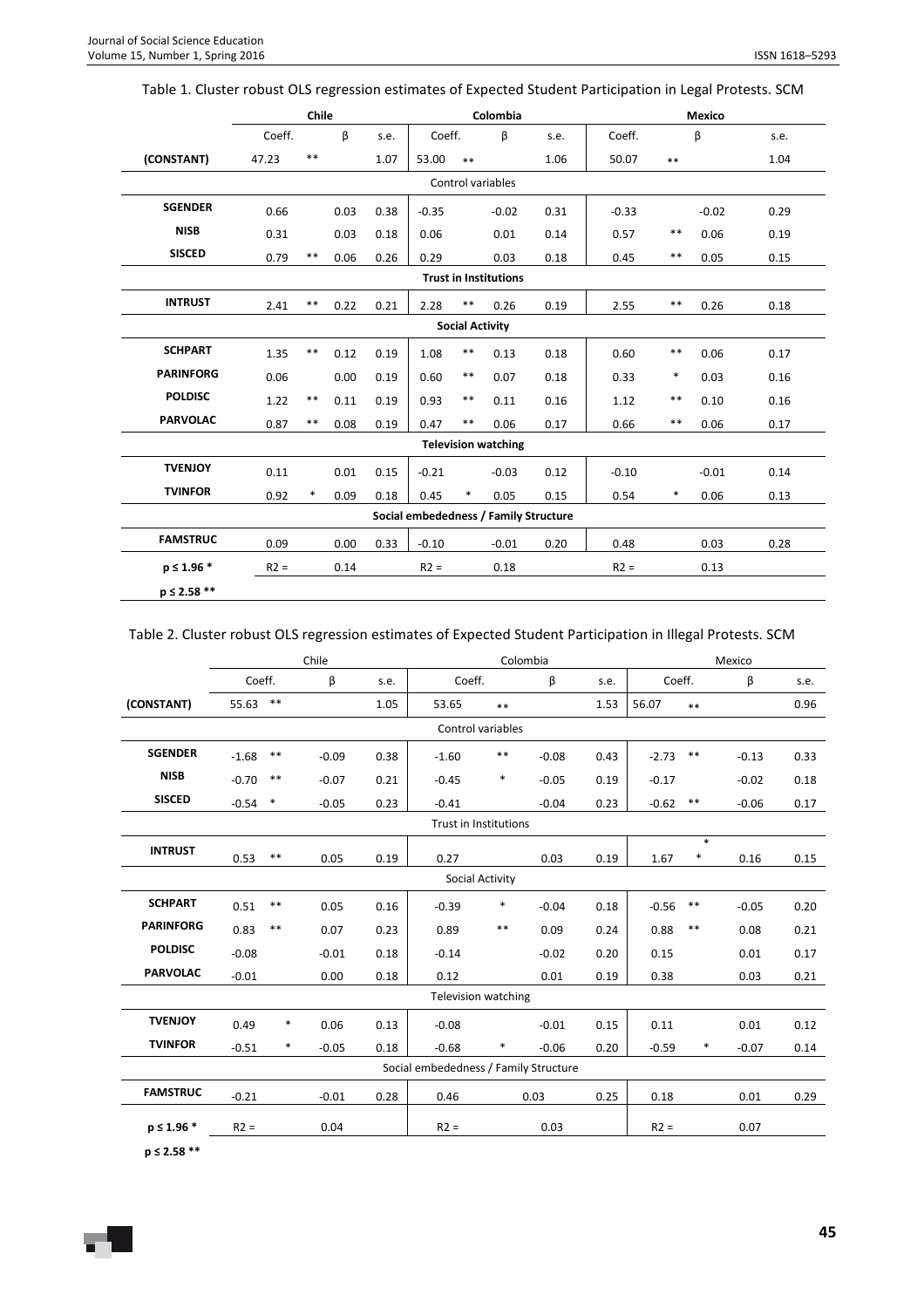|                  |        | <b>Chile</b> |      |      |         |                        | Colombia                     |                                       |         |        | Mexico  |      |
|------------------|--------|--------------|------|------|---------|------------------------|------------------------------|---------------------------------------|---------|--------|---------|------|
|                  | Coeff. |              | β    | s.e. | Coeff.  |                        | β                            | s.e.                                  | Coeff.  |        | β       | s.e. |
| (CONSTANT)       | 47.23  | $* *$        |      | 1.07 | 53.00   | $**$                   |                              | 1.06                                  | 50.07   | $**$   |         | 1.04 |
|                  |        |              |      |      |         |                        | Control variables            |                                       |         |        |         |      |
| <b>SGENDER</b>   | 0.66   |              | 0.03 | 0.38 | $-0.35$ |                        | $-0.02$                      | 0.31                                  | $-0.33$ |        | $-0.02$ | 0.29 |
| <b>NISB</b>      | 0.31   |              | 0.03 | 0.18 | 0.06    |                        | 0.01                         | 0.14                                  | 0.57    | $***$  | 0.06    | 0.19 |
| <b>SISCED</b>    | 0.79   | $* *$        | 0.06 | 0.26 | 0.29    |                        | 0.03                         | 0.18                                  | 0.45    | $**$   | 0.05    | 0.15 |
|                  |        |              |      |      |         |                        | <b>Trust in Institutions</b> |                                       |         |        |         |      |
| <b>INTRUST</b>   | 2.41   | $***$        | 0.22 | 0.21 | 2.28    | $***$                  | 0.26                         | 0.19                                  | 2.55    | $**$   | 0.26    | 0.18 |
|                  |        |              |      |      |         | <b>Social Activity</b> |                              |                                       |         |        |         |      |
| <b>SCHPART</b>   | 1.35   | $* *$        | 0.12 | 0.19 | 1.08    | $***$                  | 0.13                         | 0.18                                  | 0.60    | $**$   | 0.06    | 0.17 |
| <b>PARINFORG</b> | 0.06   |              | 0.00 | 0.19 | 0.60    | **                     | 0.07                         | 0.18                                  | 0.33    | $\ast$ | 0.03    | 0.16 |
| <b>POLDISC</b>   | 1.22   | $***$        | 0.11 | 0.19 | 0.93    | **                     | 0.11                         | 0.16                                  | 1.12    | $***$  | 0.10    | 0.16 |
| <b>PARVOLAC</b>  | 0.87   | $***$        | 0.08 | 0.19 | 0.47    | $***$                  | 0.06                         | 0.17                                  | 0.66    | $***$  | 0.06    | 0.17 |
|                  |        |              |      |      |         |                        | <b>Television watching</b>   |                                       |         |        |         |      |
| <b>TVENJOY</b>   | 0.11   |              | 0.01 | 0.15 | $-0.21$ |                        | $-0.03$                      | 0.12                                  | $-0.10$ |        | $-0.01$ | 0.14 |
| <b>TVINFOR</b>   | 0.92   | $\ast$       | 0.09 | 0.18 | 0.45    | $\ast$                 | 0.05                         | 0.15                                  | 0.54    | $\ast$ | 0.06    | 0.13 |
|                  |        |              |      |      |         |                        |                              | Social embededness / Family Structure |         |        |         |      |
| <b>FAMSTRUC</b>  | 0.09   |              | 0.00 | 0.33 | $-0.10$ |                        | $-0.01$                      | 0.20                                  | 0.48    |        | 0.03    | 0.28 |
| $p \le 1.96$ *   | $R2 =$ |              | 0.14 |      | $R2 =$  |                        | 0.18                         |                                       | $R2 =$  |        | 0.13    |      |
| $p \leq 2.58$ ** |        |              |      |      |         |                        |                              |                                       |         |        |         |      |

## Table 1. Cluster robust OLS regression estimates of Expected Student Participation in Legal Protests. SCM

# Table 2. Cluster robust OLS regression estimates of Expected Student Participation in Illegal Protests. SCM

|                  |         |            | Chile                |      |                                       |                   | Colombia |      |         |             | Mexico  |      |
|------------------|---------|------------|----------------------|------|---------------------------------------|-------------------|----------|------|---------|-------------|---------|------|
|                  | Coeff.  |            | $\boldsymbol{\beta}$ | s.e. | Coeff.                                |                   | β        | s.e. | Coeff.  |             | β       | s.e. |
| (CONSTANT)       | 55.63   | $\ast\ast$ |                      | 1.05 | 53.65                                 | $\ast\ast$        |          | 1.53 | 56.07   | $**$        |         | 0.96 |
|                  |         |            |                      |      |                                       | Control variables |          |      |         |             |         |      |
| <b>SGENDER</b>   | $-1.68$ | $\ast\ast$ | $-0.09$              | 0.38 | $-1.60$                               | $\ast\ast$        | $-0.08$  | 0.43 | $-2.73$ | $\ast\ast$  | $-0.13$ | 0.33 |
| <b>NISB</b>      | $-0.70$ | $***$      | $-0.07$              | 0.21 | $-0.45$                               | $\ast$            | $-0.05$  | 0.19 | $-0.17$ |             | $-0.02$ | 0.18 |
| <b>SISCED</b>    | $-0.54$ | $\ast$     | $-0.05$              | 0.23 | $-0.41$                               |                   | $-0.04$  | 0.23 | $-0.62$ | $***$       | $-0.06$ | 0.17 |
|                  |         |            |                      |      | Trust in Institutions                 |                   |          |      |         |             |         |      |
| <b>INTRUST</b>   | 0.53    | $***$      | 0.05                 | 0.19 | 0.27                                  |                   | 0.03     | 0.19 | 1.67    | $\ast$<br>* | 0.16    | 0.15 |
|                  |         |            |                      |      |                                       | Social Activity   |          |      |         |             |         |      |
| <b>SCHPART</b>   | 0.51    | $***$      | 0.05                 | 0.16 | $-0.39$                               | $\ast$            | $-0.04$  | 0.18 | $-0.56$ | $***$       | $-0.05$ | 0.20 |
| <b>PARINFORG</b> | 0.83    | $***$      | 0.07                 | 0.23 | 0.89                                  | $***$             | 0.09     | 0.24 | 0.88    | $***$       | 0.08    | 0.21 |
| <b>POLDISC</b>   | $-0.08$ |            | $-0.01$              | 0.18 | $-0.14$                               |                   | $-0.02$  | 0.20 | 0.15    |             | 0.01    | 0.17 |
| <b>PARVOLAC</b>  | $-0.01$ |            | 0.00                 | 0.18 | 0.12                                  |                   | 0.01     | 0.19 | 0.38    |             | 0.03    | 0.21 |
|                  |         |            |                      |      | <b>Television watching</b>            |                   |          |      |         |             |         |      |
| <b>TVENJOY</b>   | 0.49    | $\ast$     | 0.06                 | 0.13 | $-0.08$                               |                   | $-0.01$  | 0.15 | 0.11    |             | 0.01    | 0.12 |
| <b>TVINFOR</b>   | $-0.51$ | *          | $-0.05$              | 0.18 | $-0.68$                               | *                 | $-0.06$  | 0.20 | $-0.59$ | $\ast$      | $-0.07$ | 0.14 |
|                  |         |            |                      |      | Social embededness / Family Structure |                   |          |      |         |             |         |      |
| <b>FAMSTRUC</b>  | $-0.21$ |            | $-0.01$              | 0.28 | 0.46                                  |                   | 0.03     | 0.25 | 0.18    |             | 0.01    | 0.29 |
| $p \le 1.96$ *   | $R2 =$  |            | 0.04                 |      | $R2 =$                                |                   | 0.03     |      | $R2 =$  |             | 0.07    |      |

**p ≤ 2.58 \*\***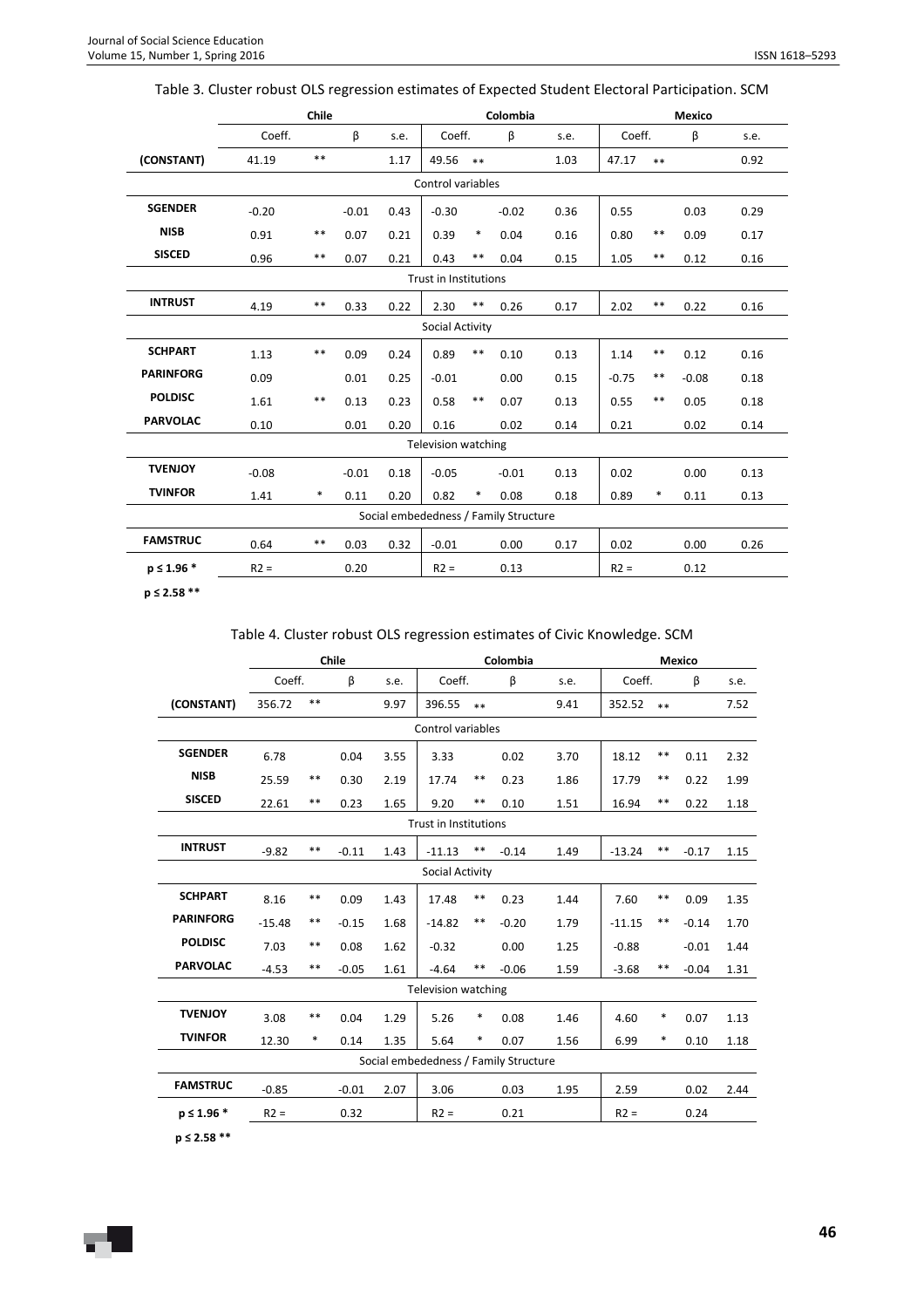|                  |         | Chile |         |      |                                       |        | Colombia |      |         |        | Mexico  |      |
|------------------|---------|-------|---------|------|---------------------------------------|--------|----------|------|---------|--------|---------|------|
|                  | Coeff.  |       | β       | s.e. | Coeff.                                |        | β        | s.e. | Coeff.  |        | β       | s.e. |
| (CONSTANT)       | 41.19   | $**$  |         | 1.17 | 49.56                                 | $**$   |          | 1.03 | 47.17   | $**$   |         | 0.92 |
|                  |         |       |         |      | Control variables                     |        |          |      |         |        |         |      |
| <b>SGENDER</b>   | $-0.20$ |       | $-0.01$ | 0.43 | $-0.30$                               |        | $-0.02$  | 0.36 | 0.55    |        | 0.03    | 0.29 |
| <b>NISB</b>      | 0.91    | $**$  | 0.07    | 0.21 | 0.39                                  | $\ast$ | 0.04     | 0.16 | 0.80    | $***$  | 0.09    | 0.17 |
| <b>SISCED</b>    | 0.96    | $**$  | 0.07    | 0.21 | 0.43                                  | $**$   | 0.04     | 0.15 | 1.05    | $* *$  | 0.12    | 0.16 |
|                  |         |       |         |      | Trust in Institutions                 |        |          |      |         |        |         |      |
| <b>INTRUST</b>   | 4.19    | $**$  | 0.33    | 0.22 | 2.30                                  | $***$  | 0.26     | 0.17 | 2.02    | $***$  | 0.22    | 0.16 |
|                  |         |       |         |      | Social Activity                       |        |          |      |         |        |         |      |
| <b>SCHPART</b>   | 1.13    | $* *$ | 0.09    | 0.24 | 0.89                                  | $***$  | 0.10     | 0.13 | 1.14    | $***$  | 0.12    | 0.16 |
| <b>PARINFORG</b> | 0.09    |       | 0.01    | 0.25 | $-0.01$                               |        | 0.00     | 0.15 | $-0.75$ | $* *$  | $-0.08$ | 0.18 |
| <b>POLDISC</b>   | 1.61    | $* *$ | 0.13    | 0.23 | 0.58                                  | $**$   | 0.07     | 0.13 | 0.55    | $* *$  | 0.05    | 0.18 |
| <b>PARVOLAC</b>  | 0.10    |       | 0.01    | 0.20 | 0.16                                  |        | 0.02     | 0.14 | 0.21    |        | 0.02    | 0.14 |
|                  |         |       |         |      | <b>Television watching</b>            |        |          |      |         |        |         |      |
| <b>TVENJOY</b>   | $-0.08$ |       | $-0.01$ | 0.18 | $-0.05$                               |        | $-0.01$  | 0.13 | 0.02    |        | 0.00    | 0.13 |
| <b>TVINFOR</b>   | 1.41    | *     | 0.11    | 0.20 | 0.82                                  | $\ast$ | 0.08     | 0.18 | 0.89    | $\ast$ | 0.11    | 0.13 |
|                  |         |       |         |      | Social embededness / Family Structure |        |          |      |         |        |         |      |
| <b>FAMSTRUC</b>  | 0.64    | $* *$ | 0.03    | 0.32 | $-0.01$                               |        | 0.00     | 0.17 | 0.02    |        | 0.00    | 0.26 |
| $p \le 1.96$ *   | $R2 =$  |       | 0.20    |      | $R2 =$                                |        | 0.13     |      | $R2 =$  |        | 0.12    |      |

# Table 3. Cluster robust OLS regression estimates of Expected Student Electoral Participation. SCM

**p ≤ 2.58 \*\*** 

## Table 4. Cluster robust OLS regression estimates of Civic Knowledge. SCM

|                  |          |            | Chile   |      |                                       |        | Colombia |      |          |        | <b>Mexico</b> |      |
|------------------|----------|------------|---------|------|---------------------------------------|--------|----------|------|----------|--------|---------------|------|
|                  | Coeff.   |            | β       | s.e. | Coeff.                                |        | β        | s.e. | Coeff.   |        | β             | s.e. |
| (CONSTANT)       | 356.72   | $**$       |         | 9.97 | 396.55                                | $**$   |          | 9.41 | 352.52   | $**$   |               | 7.52 |
|                  |          |            |         |      | Control variables                     |        |          |      |          |        |               |      |
| <b>SGENDER</b>   | 6.78     |            | 0.04    | 3.55 | 3.33                                  |        | 0.02     | 3.70 | 18.12    | $***$  | 0.11          | 2.32 |
| <b>NISB</b>      | 25.59    | $***$      | 0.30    | 2.19 | 17.74                                 | $***$  | 0.23     | 1.86 | 17.79    | **     | 0.22          | 1.99 |
| <b>SISCED</b>    | 22.61    | $***$      | 0.23    | 1.65 | 9.20                                  | **     | 0.10     | 1.51 | 16.94    | $***$  | 0.22          | 1.18 |
|                  |          |            |         |      | <b>Trust in Institutions</b>          |        |          |      |          |        |               |      |
| <b>INTRUST</b>   | $-9.82$  | $* *$      | $-0.11$ | 1.43 | $-11.13$                              | **     | $-0.14$  | 1.49 | $-13.24$ | $***$  | $-0.17$       | 1.15 |
|                  |          |            |         |      | Social Activity                       |        |          |      |          |        |               |      |
| <b>SCHPART</b>   | 8.16     | $\ast\ast$ | 0.09    | 1.43 | 17.48                                 | $***$  | 0.23     | 1.44 | 7.60     | $***$  | 0.09          | 1.35 |
| <b>PARINFORG</b> | $-15.48$ | $***$      | $-0.15$ | 1.68 | $-14.82$                              | **     | $-0.20$  | 1.79 | $-11.15$ | $***$  | $-0.14$       | 1.70 |
| <b>POLDISC</b>   | 7.03     | $***$      | 0.08    | 1.62 | $-0.32$                               |        | 0.00     | 1.25 | $-0.88$  |        | $-0.01$       | 1.44 |
| <b>PARVOLAC</b>  | $-4.53$  | $***$      | $-0.05$ | 1.61 | $-4.64$                               | $* *$  | $-0.06$  | 1.59 | $-3.68$  | $* *$  | $-0.04$       | 1.31 |
|                  |          |            |         |      | <b>Television watching</b>            |        |          |      |          |        |               |      |
| <b>TVENJOY</b>   | 3.08     | $\ast\ast$ | 0.04    | 1.29 | 5.26                                  | $\ast$ | 0.08     | 1.46 | 4.60     | $\ast$ | 0.07          | 1.13 |
| <b>TVINFOR</b>   | 12.30    | $\ast$     | 0.14    | 1.35 | 5.64                                  | $\ast$ | 0.07     | 1.56 | 6.99     | $\ast$ | 0.10          | 1.18 |
|                  |          |            |         |      | Social embededness / Family Structure |        |          |      |          |        |               |      |
| <b>FAMSTRUC</b>  | $-0.85$  |            | $-0.01$ | 2.07 | 3.06                                  |        | 0.03     | 1.95 | 2.59     |        | 0.02          | 2.44 |
| $p \le 1.96$ *   | $R2 =$   |            | 0.32    |      | $R2 =$                                |        | 0.21     |      | $R2 =$   |        | 0.24          |      |
| $p \le 2.58$ **  |          |            |         |      |                                       |        |          |      |          |        |               |      |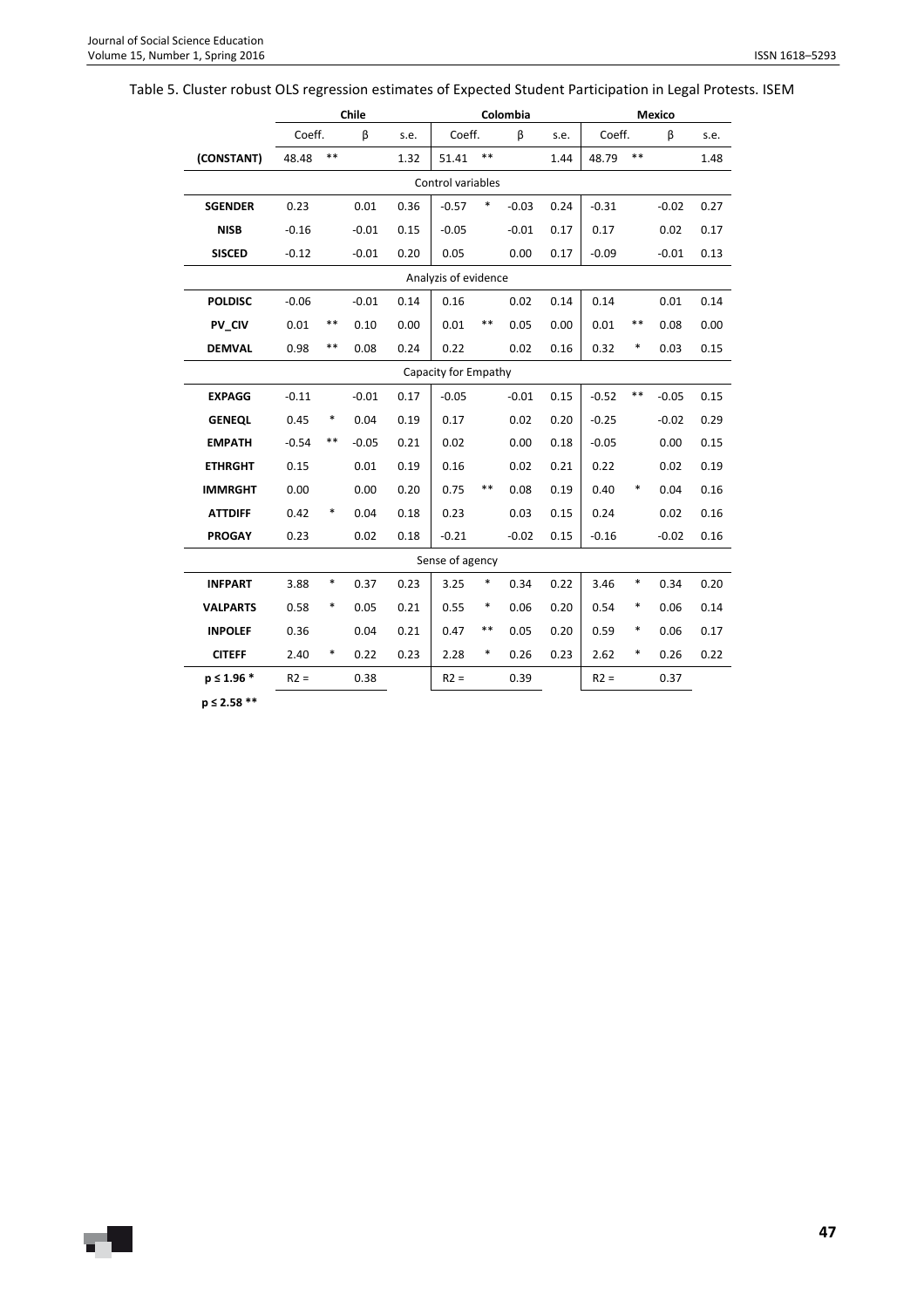# Table 5. Cluster robust OLS regression estimates of Expected Student Participation in Legal Protests. ISEM

|                 |         |        | Chile   |      |                      |        | Colombia |      |         |        | <b>Mexico</b> |      |
|-----------------|---------|--------|---------|------|----------------------|--------|----------|------|---------|--------|---------------|------|
|                 | Coeff.  |        | β       | s.e. | Coeff.               |        | β        | s.e. | Coeff.  |        | β             | s.e. |
| (CONSTANT)      | 48.48   | $**$   |         | 1.32 | 51.41                | $***$  |          | 1.44 | 48.79   | $***$  |               | 1.48 |
|                 |         |        |         |      | Control variables    |        |          |      |         |        |               |      |
| <b>SGENDER</b>  | 0.23    |        | 0.01    | 0.36 | $-0.57$              | $\ast$ | $-0.03$  | 0.24 | $-0.31$ |        | $-0.02$       | 0.27 |
| <b>NISB</b>     | $-0.16$ |        | $-0.01$ | 0.15 | $-0.05$              |        | $-0.01$  | 0.17 | 0.17    |        | 0.02          | 0.17 |
| <b>SISCED</b>   | $-0.12$ |        | $-0.01$ | 0.20 | 0.05                 |        | 0.00     | 0.17 | $-0.09$ |        | $-0.01$       | 0.13 |
|                 |         |        |         |      | Analyzis of evidence |        |          |      |         |        |               |      |
| <b>POLDISC</b>  | $-0.06$ |        | $-0.01$ | 0.14 | 0.16                 |        | 0.02     | 0.14 | 0.14    |        | 0.01          | 0.14 |
| PV CIV          | 0.01    | $***$  | 0.10    | 0.00 | 0.01                 | $***$  | 0.05     | 0.00 | 0.01    | $***$  | 0.08          | 0.00 |
| <b>DEMVAL</b>   | 0.98    | $***$  | 0.08    | 0.24 | 0.22                 |        | 0.02     | 0.16 | 0.32    | *      | 0.03          | 0.15 |
|                 |         |        |         |      | Capacity for Empathy |        |          |      |         |        |               |      |
| <b>EXPAGG</b>   | $-0.11$ |        | $-0.01$ | 0.17 | $-0.05$              |        | $-0.01$  | 0.15 | $-0.52$ | $***$  | $-0.05$       | 0.15 |
| <b>GENEQL</b>   | 0.45    | $\ast$ | 0.04    | 0.19 | 0.17                 |        | 0.02     | 0.20 | $-0.25$ |        | $-0.02$       | 0.29 |
| <b>EMPATH</b>   | $-0.54$ | $***$  | $-0.05$ | 0.21 | 0.02                 |        | 0.00     | 0.18 | $-0.05$ |        | 0.00          | 0.15 |
| <b>ETHRGHT</b>  | 0.15    |        | 0.01    | 0.19 | 0.16                 |        | 0.02     | 0.21 | 0.22    |        | 0.02          | 0.19 |
| <b>IMMRGHT</b>  | 0.00    |        | 0.00    | 0.20 | 0.75                 | $***$  | 0.08     | 0.19 | 0.40    | *      | 0.04          | 0.16 |
| <b>ATTDIFF</b>  | 0.42    | ∗      | 0.04    | 0.18 | 0.23                 |        | 0.03     | 0.15 | 0.24    |        | 0.02          | 0.16 |
| <b>PROGAY</b>   | 0.23    |        | 0.02    | 0.18 | $-0.21$              |        | $-0.02$  | 0.15 | $-0.16$ |        | $-0.02$       | 0.16 |
|                 |         |        |         |      | Sense of agency      |        |          |      |         |        |               |      |
| <b>INFPART</b>  | 3.88    | $\ast$ | 0.37    | 0.23 | 3.25                 | *      | 0.34     | 0.22 | 3.46    | *      | 0.34          | 0.20 |
| <b>VALPARTS</b> | 0.58    | $\ast$ | 0.05    | 0.21 | 0.55                 | *      | 0.06     | 0.20 | 0.54    | $\ast$ | 0.06          | 0.14 |
| <b>INPOLEF</b>  | 0.36    |        | 0.04    | 0.21 | 0.47                 | **     | 0.05     | 0.20 | 0.59    | ∗      | 0.06          | 0.17 |
| <b>CITEFF</b>   | 2.40    | $\ast$ | 0.22    | 0.23 | 2.28                 | $\ast$ | 0.26     | 0.23 | 2.62    | *      | 0.26          | 0.22 |
| $p \le 1.96$ *  | $R2 =$  |        | 0.38    |      | $R2 =$               |        | 0.39     |      | $R2 =$  |        | 0.37          |      |
| $p \le 2.58$ ** |         |        |         |      |                      |        |          |      |         |        |               |      |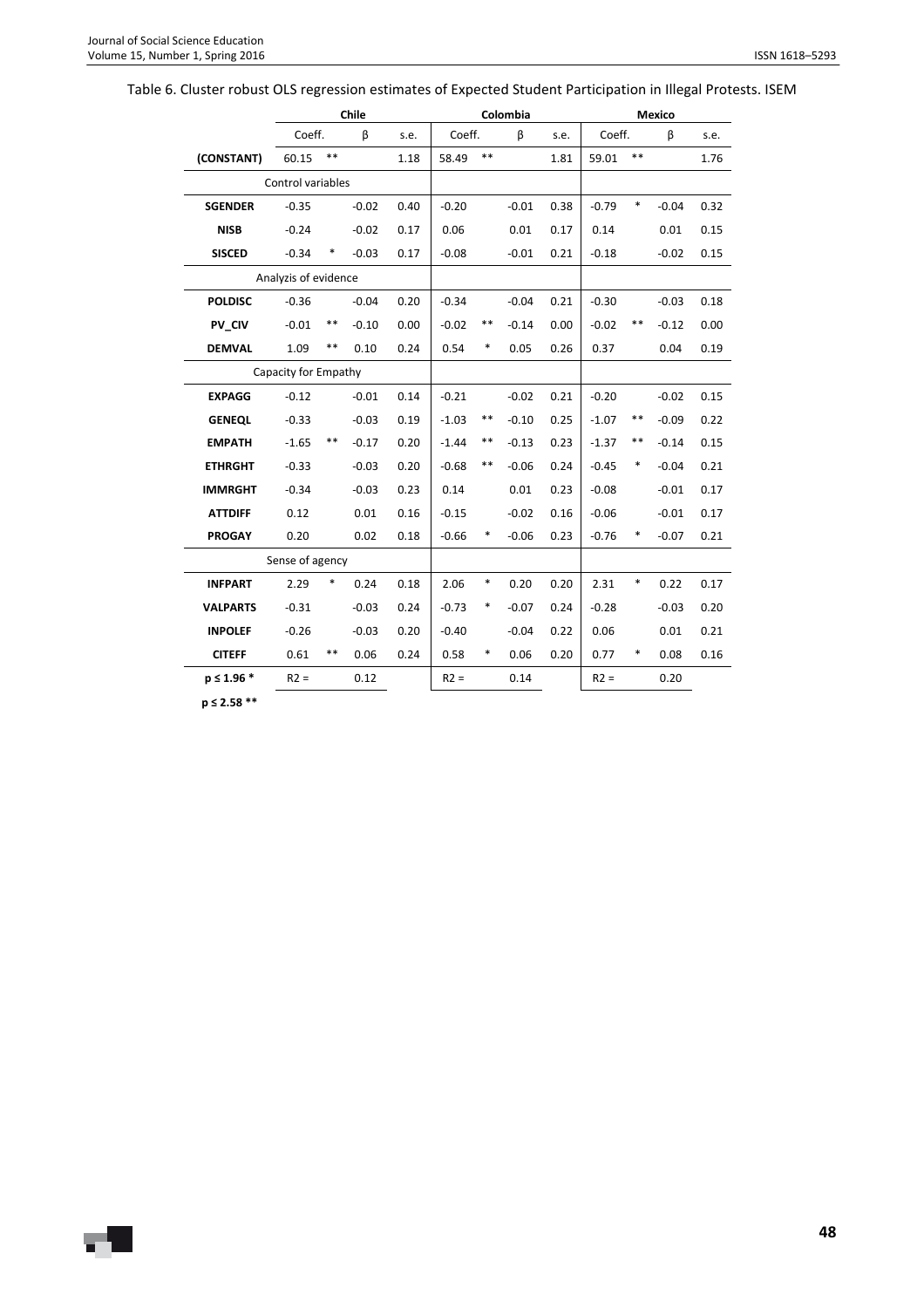# Table 6. Cluster robust OLS regression estimates of Expected Student Participation in Illegal Protests. ISEM

|                 |                      |       | Chile   |      |         |       | Colombia |      |         |        | <b>Mexico</b> |      |
|-----------------|----------------------|-------|---------|------|---------|-------|----------|------|---------|--------|---------------|------|
|                 | Coeff.               |       | β       | s.e. | Coeff.  |       | β        | s.e. | Coeff.  |        | β             | s.e. |
| (CONSTANT)      | 60.15                | **    |         | 1.18 | 58.49   | $**$  |          | 1.81 | 59.01   | $**$   |               | 1.76 |
|                 | Control variables    |       |         |      |         |       |          |      |         |        |               |      |
| <b>SGENDER</b>  | $-0.35$              |       | $-0.02$ | 0.40 | $-0.20$ |       | $-0.01$  | 0.38 | $-0.79$ | $\ast$ | $-0.04$       | 0.32 |
| <b>NISB</b>     | $-0.24$              |       | $-0.02$ | 0.17 | 0.06    |       | 0.01     | 0.17 | 0.14    |        | 0.01          | 0.15 |
| <b>SISCED</b>   | $-0.34$              | ∗     | $-0.03$ | 0.17 | $-0.08$ |       | $-0.01$  | 0.21 | $-0.18$ |        | $-0.02$       | 0.15 |
|                 | Analyzis of evidence |       |         |      |         |       |          |      |         |        |               |      |
| <b>POLDISC</b>  | $-0.36$              |       | $-0.04$ | 0.20 | $-0.34$ |       | $-0.04$  | 0.21 | $-0.30$ |        | $-0.03$       | 0.18 |
| PV CIV          | $-0.01$              | **    | $-0.10$ | 0.00 | $-0.02$ | $***$ | $-0.14$  | 0.00 | $-0.02$ | $***$  | $-0.12$       | 0.00 |
| <b>DEMVAL</b>   | 1.09                 | **    | 0.10    | 0.24 | 0.54    | *     | 0.05     | 0.26 | 0.37    |        | 0.04          | 0.19 |
|                 | Capacity for Empathy |       |         |      |         |       |          |      |         |        |               |      |
| <b>EXPAGG</b>   | $-0.12$              |       | $-0.01$ | 0.14 | $-0.21$ |       | $-0.02$  | 0.21 | $-0.20$ |        | $-0.02$       | 0.15 |
| <b>GENEQL</b>   | $-0.33$              |       | $-0.03$ | 0.19 | $-1.03$ | $***$ | $-0.10$  | 0.25 | $-1.07$ | **     | $-0.09$       | 0.22 |
| <b>EMPATH</b>   | $-1.65$              | **    | $-0.17$ | 0.20 | $-1.44$ | $***$ | $-0.13$  | 0.23 | $-1.37$ | $***$  | $-0.14$       | 0.15 |
| <b>ETHRGHT</b>  | $-0.33$              |       | $-0.03$ | 0.20 | $-0.68$ | $***$ | $-0.06$  | 0.24 | $-0.45$ | *      | $-0.04$       | 0.21 |
| <b>IMMRGHT</b>  | $-0.34$              |       | $-0.03$ | 0.23 | 0.14    |       | 0.01     | 0.23 | $-0.08$ |        | $-0.01$       | 0.17 |
| <b>ATTDIFF</b>  | 0.12                 |       | 0.01    | 0.16 | $-0.15$ |       | $-0.02$  | 0.16 | $-0.06$ |        | $-0.01$       | 0.17 |
| <b>PROGAY</b>   | 0.20                 |       | 0.02    | 0.18 | $-0.66$ | *     | $-0.06$  | 0.23 | $-0.76$ | *      | $-0.07$       | 0.21 |
|                 | Sense of agency      |       |         |      |         |       |          |      |         |        |               |      |
| <b>INFPART</b>  | 2.29                 | *     | 0.24    | 0.18 | 2.06    | ∗     | 0.20     | 0.20 | 2.31    | *      | 0.22          | 0.17 |
| <b>VALPARTS</b> | $-0.31$              |       | $-0.03$ | 0.24 | $-0.73$ | *     | $-0.07$  | 0.24 | $-0.28$ |        | $-0.03$       | 0.20 |
| <b>INPOLEF</b>  | $-0.26$              |       | $-0.03$ | 0.20 | $-0.40$ |       | $-0.04$  | 0.22 | 0.06    |        | 0.01          | 0.21 |
| <b>CITEFF</b>   | 0.61                 | $***$ | 0.06    | 0.24 | 0.58    | *     | 0.06     | 0.20 | 0.77    | *      | 0.08          | 0.16 |
| $p \le 1.96$ *  | $R2 =$               |       | 0.12    |      | $R2 =$  |       | 0.14     |      | $R2 =$  |        | 0.20          |      |
|                 |                      |       |         |      |         |       |          |      |         |        |               |      |

**p ≤ 2.58 \*\***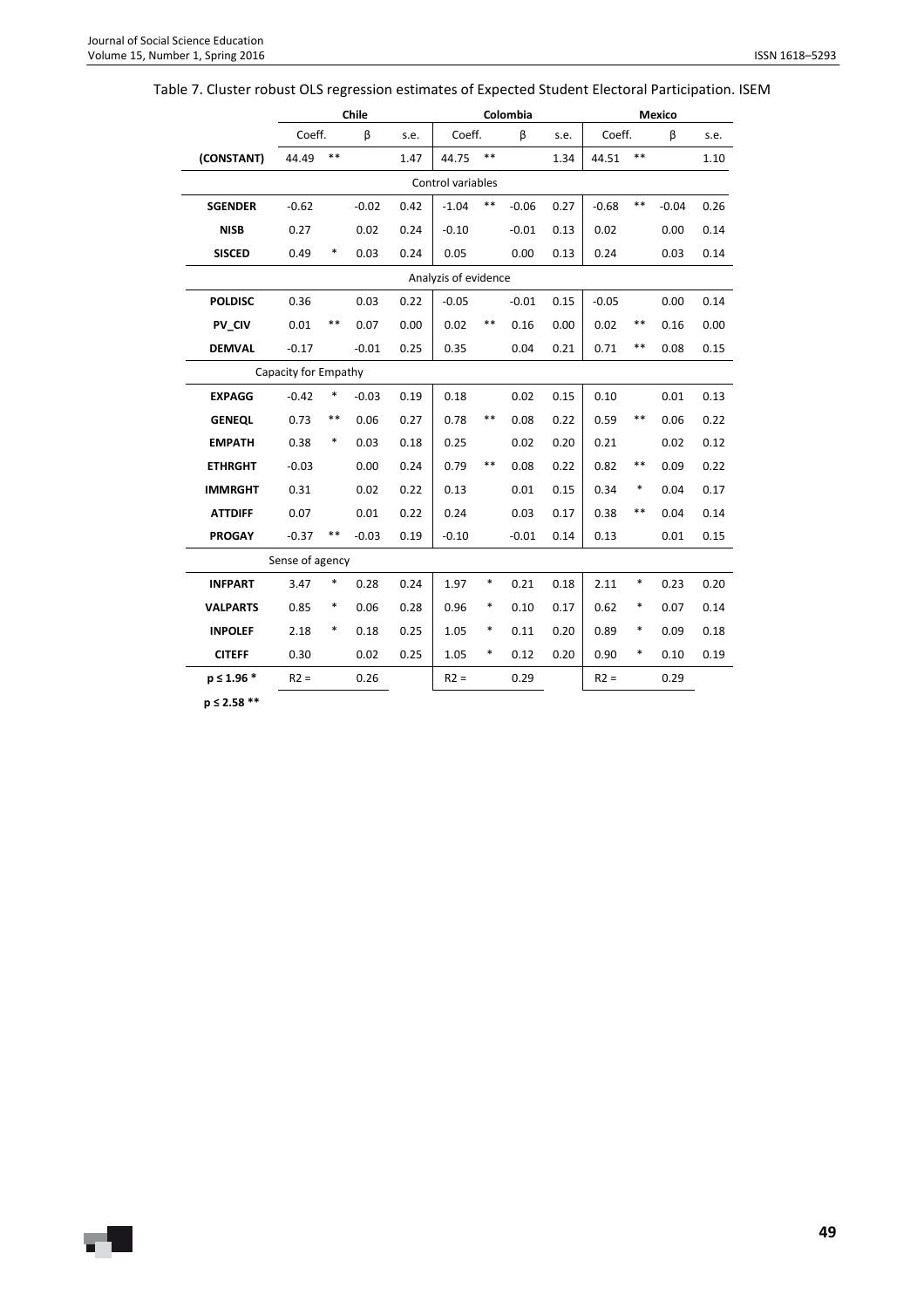| Table 7. Cluster robust OLS regression estimates of Expected Student Electoral Participation. ISEM |  |  |  |
|----------------------------------------------------------------------------------------------------|--|--|--|
|                                                                                                    |  |  |  |

|                 |                      |        | Chile   |      |                      |        | Colombia |      |         |       | Mexico  |      |
|-----------------|----------------------|--------|---------|------|----------------------|--------|----------|------|---------|-------|---------|------|
|                 | Coeff.               |        | β       | s.e. | Coeff.               |        | β        | s.e. | Coeff.  |       | β       | s.e. |
| (CONSTANT)      | 44.49                | $* *$  |         | 1.47 | 44.75                | $***$  |          | 1.34 | 44.51   | $***$ |         | 1.10 |
|                 |                      |        |         |      | Control variables    |        |          |      |         |       |         |      |
| <b>SGENDER</b>  | $-0.62$              |        | $-0.02$ | 0.42 | $-1.04$              | $***$  | $-0.06$  | 0.27 | $-0.68$ | $***$ | $-0.04$ | 0.26 |
| <b>NISB</b>     | 0.27                 |        | 0.02    | 0.24 | $-0.10$              |        | $-0.01$  | 0.13 | 0.02    |       | 0.00    | 0.14 |
| <b>SISCED</b>   | 0.49                 | *      | 0.03    | 0.24 | 0.05                 |        | 0.00     | 0.13 | 0.24    |       | 0.03    | 0.14 |
|                 |                      |        |         |      | Analyzis of evidence |        |          |      |         |       |         |      |
| <b>POLDISC</b>  | 0.36                 |        | 0.03    | 0.22 | $-0.05$              |        | $-0.01$  | 0.15 | $-0.05$ |       | 0.00    | 0.14 |
| PV CIV          | 0.01                 | $***$  | 0.07    | 0.00 | 0.02                 | $***$  | 0.16     | 0.00 | 0.02    | $***$ | 0.16    | 0.00 |
| <b>DEMVAL</b>   | $-0.17$              |        | $-0.01$ | 0.25 | 0.35                 |        | 0.04     | 0.21 | 0.71    | $***$ | 0.08    | 0.15 |
|                 | Capacity for Empathy |        |         |      |                      |        |          |      |         |       |         |      |
| <b>EXPAGG</b>   | $-0.42$              | $\ast$ | $-0.03$ | 0.19 | 0.18                 |        | 0.02     | 0.15 | 0.10    |       | 0.01    | 0.13 |
| <b>GENEQL</b>   | 0.73                 | $***$  | 0.06    | 0.27 | 0.78                 | **     | 0.08     | 0.22 | 0.59    | $***$ | 0.06    | 0.22 |
| <b>EMPATH</b>   | 0.38                 | $\ast$ | 0.03    | 0.18 | 0.25                 |        | 0.02     | 0.20 | 0.21    |       | 0.02    | 0.12 |
| <b>ETHRGHT</b>  | $-0.03$              |        | 0.00    | 0.24 | 0.79                 | **     | 0.08     | 0.22 | 0.82    | $***$ | 0.09    | 0.22 |
| <b>IMMRGHT</b>  | 0.31                 |        | 0.02    | 0.22 | 0.13                 |        | 0.01     | 0.15 | 0.34    | *     | 0.04    | 0.17 |
| <b>ATTDIFF</b>  | 0.07                 |        | 0.01    | 0.22 | 0.24                 |        | 0.03     | 0.17 | 0.38    | $***$ | 0.04    | 0.14 |
| <b>PROGAY</b>   | $-0.37$              | $***$  | $-0.03$ | 0.19 | $-0.10$              |        | $-0.01$  | 0.14 | 0.13    |       | 0.01    | 0.15 |
|                 | Sense of agency      |        |         |      |                      |        |          |      |         |       |         |      |
| <b>INFPART</b>  | 3.47                 | ∗      | 0.28    | 0.24 | 1.97                 | $\ast$ | 0.21     | 0.18 | 2.11    | *     | 0.23    | 0.20 |
| <b>VALPARTS</b> | 0.85                 | ∗      | 0.06    | 0.28 | 0.96                 | $\ast$ | 0.10     | 0.17 | 0.62    | *     | 0.07    | 0.14 |
| <b>INPOLEF</b>  | 2.18                 | $\ast$ | 0.18    | 0.25 | 1.05                 | $\ast$ | 0.11     | 0.20 | 0.89    | *     | 0.09    | 0.18 |
| <b>CITEFF</b>   | 0.30                 |        | 0.02    | 0.25 | 1.05                 | $\ast$ | 0.12     | 0.20 | 0.90    | *     | 0.10    | 0.19 |
| $p \le 1.96$ *  | $R2 =$               |        | 0.26    |      | $R2 =$               |        | 0.29     |      | $R2 =$  |       | 0.29    |      |
| $220 - 22$      |                      |        |         |      |                      |        |          |      |         |       |         |      |

**p ≤ 2.58 \*\***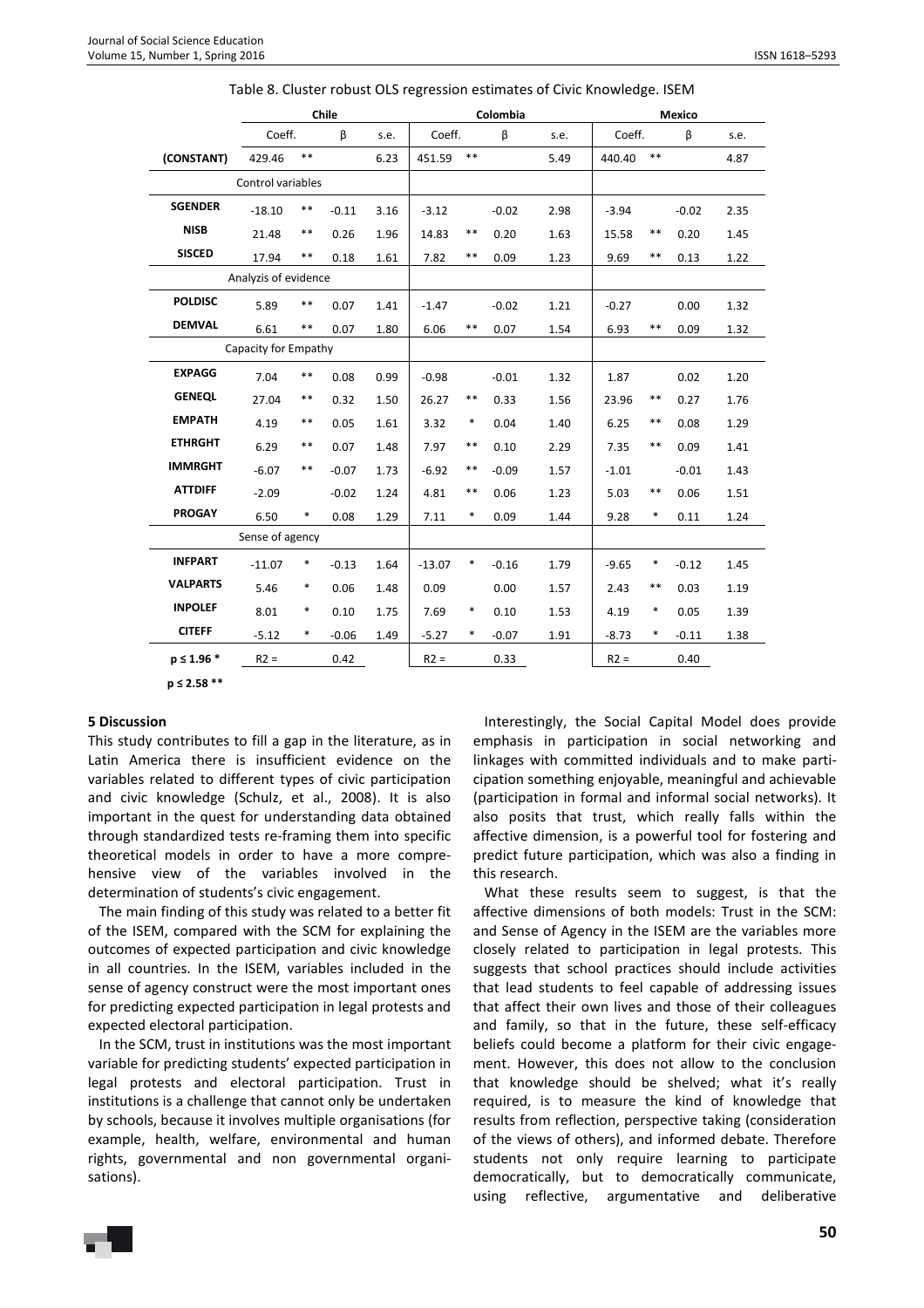|                 |                      |            | Chile   |      |          |        | Colombia |      |         |       | Mexico  |      |
|-----------------|----------------------|------------|---------|------|----------|--------|----------|------|---------|-------|---------|------|
|                 | Coeff.               |            | β       | s.e. | Coeff.   |        | β        | s.e. | Coeff.  |       | β       | s.e. |
| (CONSTANT)      | 429.46               | $**$       |         | 6.23 | 451.59   | $**$   |          | 5.49 | 440.40  | $* *$ |         | 4.87 |
|                 | Control variables    |            |         |      |          |        |          |      |         |       |         |      |
| <b>SGENDER</b>  | $-18.10$             | $***$      | $-0.11$ | 3.16 | $-3.12$  |        | $-0.02$  | 2.98 | $-3.94$ |       | $-0.02$ | 2.35 |
| <b>NISB</b>     | 21.48                | $***$      | 0.26    | 1.96 | 14.83    | $***$  | 0.20     | 1.63 | 15.58   | $***$ | 0.20    | 1.45 |
| <b>SISCED</b>   | 17.94                | $***$      | 0.18    | 1.61 | 7.82     | $***$  | 0.09     | 1.23 | 9.69    | $***$ | 0.13    | 1.22 |
|                 | Analyzis of evidence |            |         |      |          |        |          |      |         |       |         |      |
| <b>POLDISC</b>  | 5.89                 | $***$      | 0.07    | 1.41 | $-1.47$  |        | $-0.02$  | 1.21 | $-0.27$ |       | 0.00    | 1.32 |
| <b>DEMVAL</b>   | 6.61                 | $***$      | 0.07    | 1.80 | 6.06     | $***$  | 0.07     | 1.54 | 6.93    | $***$ | 0.09    | 1.32 |
|                 | Capacity for Empathy |            |         |      |          |        |          |      |         |       |         |      |
| <b>EXPAGG</b>   | 7.04                 | $\ast\ast$ | 0.08    | 0.99 | $-0.98$  |        | $-0.01$  | 1.32 | 1.87    |       | 0.02    | 1.20 |
| <b>GENEQL</b>   | 27.04                | $***$      | 0.32    | 1.50 | 26.27    | $***$  | 0.33     | 1.56 | 23.96   | $***$ | 0.27    | 1.76 |
| <b>EMPATH</b>   | 4.19                 | $***$      | 0.05    | 1.61 | 3.32     | $\ast$ | 0.04     | 1.40 | 6.25    | $***$ | 0.08    | 1.29 |
| <b>ETHRGHT</b>  | 6.29                 | $***$      | 0.07    | 1.48 | 7.97     | $***$  | 0.10     | 2.29 | 7.35    | $***$ | 0.09    | 1.41 |
| <b>IMMRGHT</b>  | $-6.07$              | $* *$      | $-0.07$ | 1.73 | $-6.92$  | $***$  | $-0.09$  | 1.57 | $-1.01$ |       | $-0.01$ | 1.43 |
| <b>ATTDIFF</b>  | $-2.09$              |            | $-0.02$ | 1.24 | 4.81     | $***$  | 0.06     | 1.23 | 5.03    | $***$ | 0.06    | 1.51 |
| <b>PROGAY</b>   | 6.50                 | $\ast$     | 0.08    | 1.29 | 7.11     | $\ast$ | 0.09     | 1.44 | 9.28    | *     | 0.11    | 1.24 |
|                 | Sense of agency      |            |         |      |          |        |          |      |         |       |         |      |
| <b>INFPART</b>  | $-11.07$             | *          | $-0.13$ | 1.64 | $-13.07$ | $\ast$ | $-0.16$  | 1.79 | $-9.65$ | *     | $-0.12$ | 1.45 |
| <b>VALPARTS</b> | 5.46                 | $\ast$     | 0.06    | 1.48 | 0.09     |        | 0.00     | 1.57 | 2.43    | $***$ | 0.03    | 1.19 |
| <b>INPOLEF</b>  | 8.01                 | $\ast$     | 0.10    | 1.75 | 7.69     | $\ast$ | 0.10     | 1.53 | 4.19    | *     | 0.05    | 1.39 |
| <b>CITEFF</b>   | $-5.12$              | $\ast$     | $-0.06$ | 1.49 | $-5.27$  | *      | $-0.07$  | 1.91 | $-8.73$ | *     | $-0.11$ | 1.38 |
| $p \le 1.96$ *  | $R2 =$               |            | 0.42    |      | $R2 =$   |        | 0.33     |      | $R2 =$  |       | 0.40    |      |

| Table 8. Cluster robust OLS regression estimates of Civic Knowledge. ISEM |
|---------------------------------------------------------------------------|
|---------------------------------------------------------------------------|

**p ≤ 2.58 \*\*** 

### **5 Discussion**

This study contributes to fill a gap in the literature, as in Latin America there is insufficient evidence on the variables related to different types of civic participation and civic knowledge (Schulz, et al., 2008). It is also important in the quest for understanding data obtained through standardized tests re-framing them into specific theoretical models in order to have a more comprehensive view of the variables involved in the determination of students's civic engagement.

The main finding of this study was related to a better fit of the ISEM, compared with the SCM for explaining the outcomes of expected participation and civic knowledge in all countries. In the ISEM, variables included in the sense of agency construct were the most important ones for predicting expected participation in legal protests and expected electoral participation.

In the SCM, trust in institutions was the most important variable for predicting students' expected participation in legal protests and electoral participation. Trust in institutions is a challenge that cannot only be undertaken by schools, because it involves multiple organisations (for example, health, welfare, environmental and human rights, governmental and non governmental organisations).

Interestingly, the Social Capital Model does provide emphasis in participation in social networking and linkages with committed individuals and to make participation something enjoyable, meaningful and achievable (participation in formal and informal social networks). It also posits that trust, which really falls within the affective dimension, is a powerful tool for fostering and predict future participation, which was also a finding in this research.

What these results seem to suggest, is that the affective dimensions of both models: Trust in the SCM: and Sense of Agency in the ISEM are the variables more closely related to participation in legal protests. This suggests that school practices should include activities that lead students to feel capable of addressing issues that affect their own lives and those of their colleagues and family, so that in the future, these self-efficacy beliefs could become a platform for their civic engagement. However, this does not allow to the conclusion that knowledge should be shelved; what it's really required, is to measure the kind of knowledge that results from reflection, perspective taking (consideration of the views of others), and informed debate. Therefore students not only require learning to participate democratically, but to democratically communicate, using reflective, argumentative and deliberative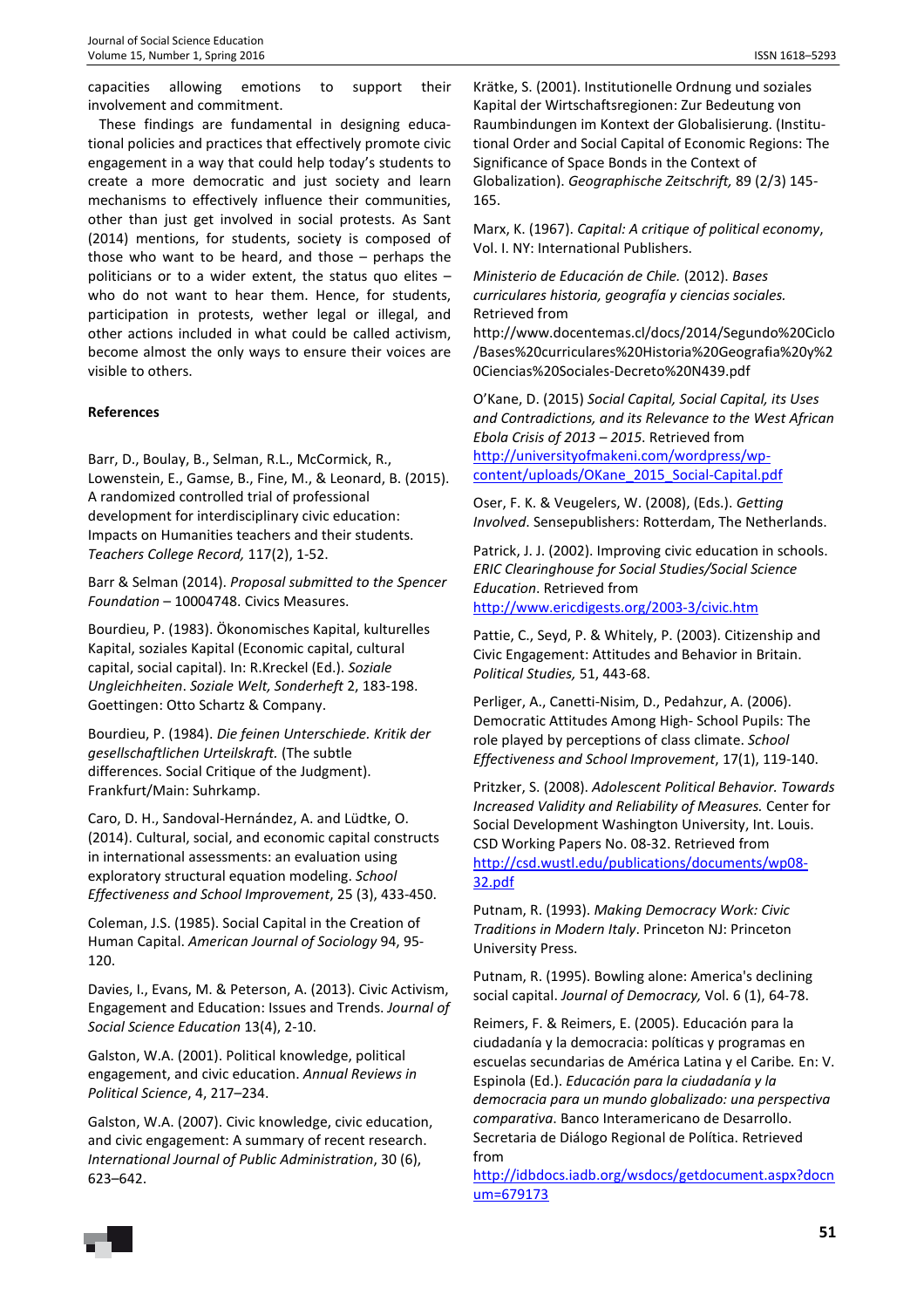capacities allowing emotions to support their involvement and commitment.

These findings are fundamental in designing educational policies and practices that effectively promote civic engagement in a way that could help today's students to create a more democratic and just society and learn mechanisms to effectively influence their communities, other than just get involved in social protests. As Sant (2014) mentions, for students, society is composed of those who want to be heard, and those – perhaps the politicians or to a wider extent, the status quo elites – who do not want to hear them. Hence, for students, participation in protests, wether legal or illegal, and other actions included in what could be called activism, become almost the only ways to ensure their voices are visible to others.

### **References**

Barr, D., Boulay, B., Selman, R.L., McCormick, R., Lowenstein, E., Gamse, B., Fine, M., & Leonard, B. (2015). A randomized controlled trial of professional development for interdisciplinary civic education: Impacts on Humanities teachers and their students. *Teachers College Record,* 117(2), 1-52.

Barr & Selman (2014). *Proposal submitted to the Spencer Foundation* – 10004748. Civics Measures.

Bourdieu, P. (1983). Ökonomisches Kapital, kulturelles Kapital, soziales Kapital (Economic capital, cultural capital, social capital). In: R.Kreckel (Ed.). *Soziale Ungleichheiten*. *Soziale Welt, Sonderheft* 2, 183-198. Goettingen: Otto Schartz & Company.

Bourdieu, P. (1984). *Die feinen Unterschiede. Kritik der gesellschaftlichen Urteilskraft.* (The subtle differences. Social Critique of the Judgment). Frankfurt/Main: Suhrkamp.

Caro, D. H., Sandoval-Hernández, A. and Lüdtke, O. (2014). Cultural, social, and economic capital constructs in international assessments: an evaluation using exploratory structural equation modeling. *School Effectiveness and School Improvement*, 25 (3), 433-450.

Coleman, J.S. (1985). Social Capital in the Creation of Human Capital. *American Journal of Sociology* 94, 95- 120.

Davies, I., Evans, M. & Peterson, A. (2013). Civic Activism, Engagement and Education: Issues and Trends. *Journal of Social Science Education* 13(4), 2-10.

Galston, W.A. (2001). Political knowledge, political engagement, and civic education. *Annual Reviews in Political Science*, 4, 217–234.

Galston, W.A. (2007). Civic knowledge, civic education, and civic engagement: A summary of recent research. *International Journal of Public Administration*, 30 (6), 623–642.

Krätke, S. (2001). Institutionelle Ordnung und soziales Kapital der Wirtschaftsregionen: Zur Bedeutung von Raumbindungen im Kontext der Globalisierung. (Institutional Order and Social Capital of Economic Regions: The Significance of Space Bonds in the Context of Globalization). *Geographische Zeitschrift,* 89 (2/3) 145- 165.

Marx, K. (1967). *Capital: A critique of political economy*, Vol. I. NY: International Publishers.

*Ministerio de Educación de Chile.* (2012). *Bases curriculares historia, geografía y ciencias sociales.* Retrieved from

http://www.docentemas.cl/docs/2014/Segundo%20Ciclo /Bases%20curriculares%20Historia%20Geografia%20y%2 0Ciencias%20Sociales-Decreto%20N439.pdf

O'Kane, D. (2015) *Social Capital, Social Capital, its Uses and Contradictions, and its Relevance to the West African Ebola Crisis of 2013 – 2015*. Retrieved from http://universityofmakeni.com/wordpress/wpcontent/uploads/OKane\_2015\_Social-Capital.pdf

Oser, F. K. & Veugelers, W. (2008), (Eds.). *Getting Involved*. Sensepublishers: Rotterdam, The Netherlands.

Patrick, J. J. (2002). Improving civic education in schools. *ERIC Clearinghouse for Social Studies/Social Science Education*. Retrieved from http://www.ericdigests.org/2003-3/civic.htm

Pattie, C., Seyd, P. & Whitely, P. (2003). Citizenship and Civic Engagement: Attitudes and Behavior in Britain. *Political Studies,* 51, 443-68.

Perliger, A., Canetti-Nisim, D., Pedahzur, A. (2006). Democratic Attitudes Among High- School Pupils: The role played by perceptions of class climate. *School Effectiveness and School Improvement*, 17(1), 119-140.

Pritzker, S. (2008). *Adolescent Political Behavior. Towards Increased Validity and Reliability of Measures.* Center for Social Development Washington University, Int. Louis. CSD Working Papers No. 08-32. Retrieved from http://csd.wustl.edu/publications/documents/wp08- 32.pdf

Putnam, R. (1993). *Making Democracy Work: Civic Traditions in Modern Italy*. Princeton NJ: Princeton University Press.

Putnam, R. (1995). Bowling alone: America's declining social capital. *Journal of Democracy,* Vol. 6 (1), 64-78.

Reimers, F. & Reimers, E. (2005). Educación para la ciudadanía y la democracia: políticas y programas en escuelas secundarias de América Latina y el Caribe*.* En: V. Espinola (Ed.). *Educación para la ciudadanía y la democracia para un mundo globalizado: una perspectiva comparativa*. Banco Interamericano de Desarrollo. Secretaria de Diálogo Regional de Política. Retrieved from

http://idbdocs.iadb.org/wsdocs/getdocument.aspx?docn um=679173